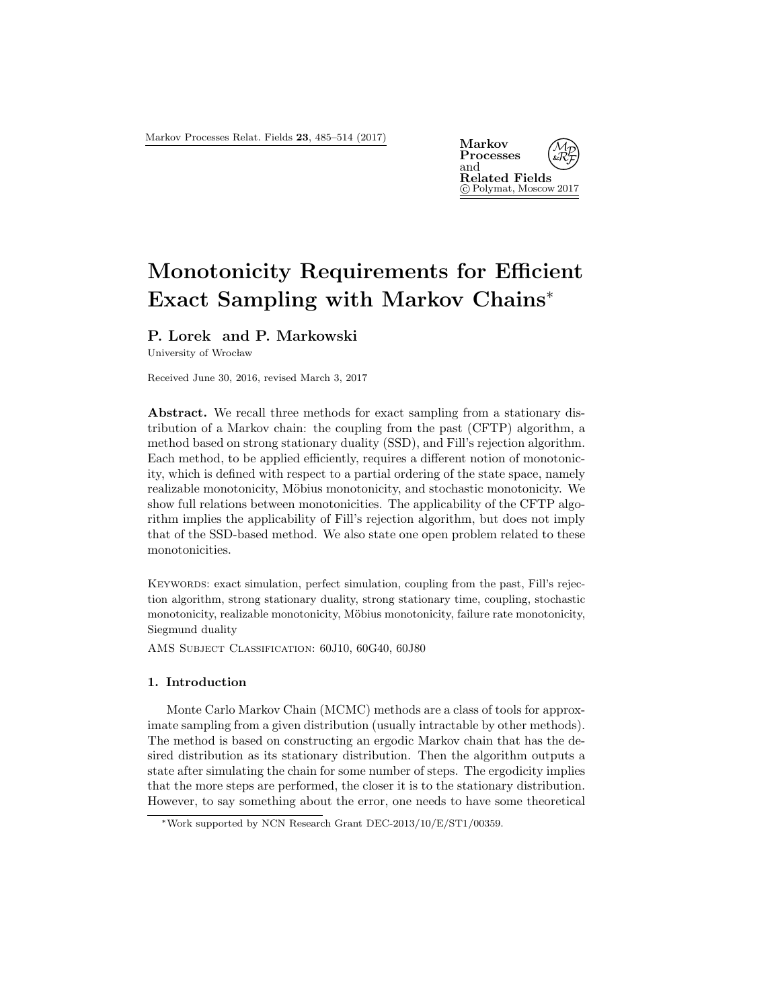Markov Processes Relat. Fields 23, 485–514 (2017) Markov



# Monotonicity Requirements for Efficient Exact Sampling with Markov Chains<sup>∗</sup>

P. Lorek and P. Markowski

University of Wrocław

Received June 30, 2016, revised March 3, 2017

Abstract. We recall three methods for exact sampling from a stationary distribution of a Markov chain: the coupling from the past (CFTP) algorithm, a method based on strong stationary duality (SSD), and Fill's rejection algorithm. Each method, to be applied efficiently, requires a different notion of monotonicity, which is defined with respect to a partial ordering of the state space, namely realizable monotonicity, Möbius monotonicity, and stochastic monotonicity. We show full relations between monotonicities. The applicability of the CFTP algorithm implies the applicability of Fill's rejection algorithm, but does not imply that of the SSD-based method. We also state one open problem related to these monotonicities.

Keywords: exact simulation, perfect simulation, coupling from the past, Fill's rejection algorithm, strong stationary duality, strong stationary time, coupling, stochastic monotonicity, realizable monotonicity, Möbius monotonicity, failure rate monotonicity, Siegmund duality

AMS Subject Classification: 60J10, 60G40, 60J80

# 1. Introduction

Monte Carlo Markov Chain (MCMC) methods are a class of tools for approximate sampling from a given distribution (usually intractable by other methods). The method is based on constructing an ergodic Markov chain that has the desired distribution as its stationary distribution. Then the algorithm outputs a state after simulating the chain for some number of steps. The ergodicity implies that the more steps are performed, the closer it is to the stationary distribution. However, to say something about the error, one needs to have some theoretical

<sup>∗</sup>Work supported by NCN Research Grant DEC-2013/10/E/ST1/00359.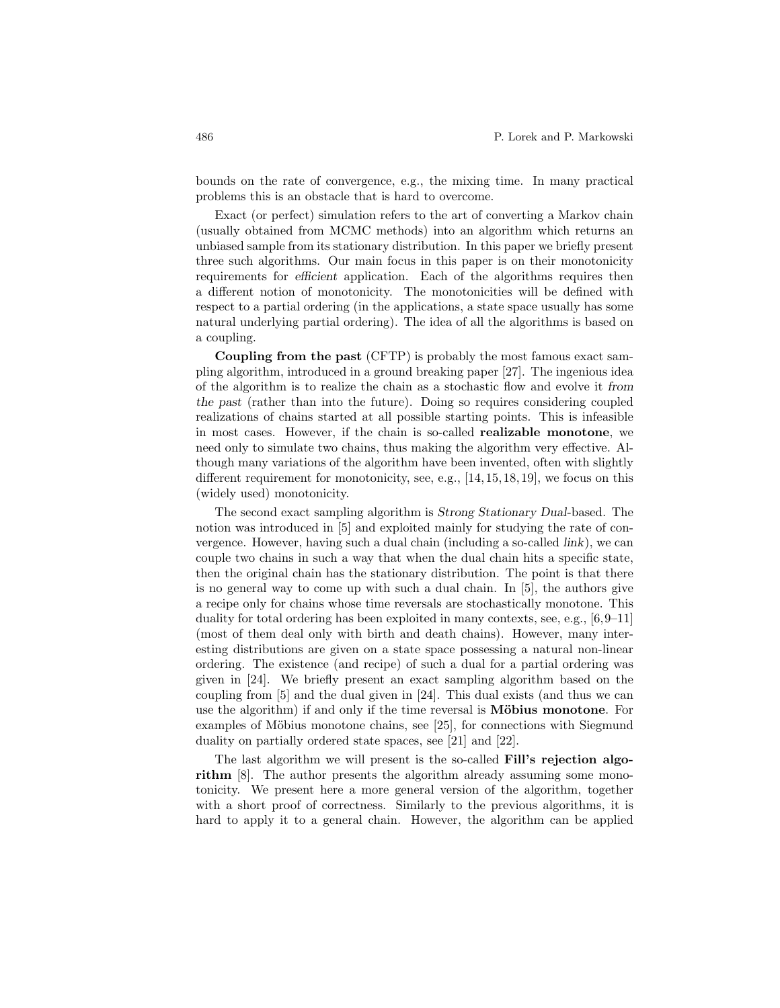bounds on the rate of convergence, e.g., the mixing time. In many practical problems this is an obstacle that is hard to overcome.

Exact (or perfect) simulation refers to the art of converting a Markov chain (usually obtained from MCMC methods) into an algorithm which returns an unbiased sample from its stationary distribution. In this paper we briefly present three such algorithms. Our main focus in this paper is on their monotonicity requirements for efficient application. Each of the algorithms requires then a different notion of monotonicity. The monotonicities will be defined with respect to a partial ordering (in the applications, a state space usually has some natural underlying partial ordering). The idea of all the algorithms is based on a coupling.

Coupling from the past (CFTP) is probably the most famous exact sampling algorithm, introduced in a ground breaking paper [27]. The ingenious idea of the algorithm is to realize the chain as a stochastic flow and evolve it from the past (rather than into the future). Doing so requires considering coupled realizations of chains started at all possible starting points. This is infeasible in most cases. However, if the chain is so-called realizable monotone, we need only to simulate two chains, thus making the algorithm very effective. Although many variations of the algorithm have been invented, often with slightly different requirement for monotonicity, see, e.g., [14, 15, 18, 19], we focus on this (widely used) monotonicity.

The second exact sampling algorithm is Strong Stationary Dual-based. The notion was introduced in [5] and exploited mainly for studying the rate of convergence. However, having such a dual chain (including a so-called link), we can couple two chains in such a way that when the dual chain hits a specific state, then the original chain has the stationary distribution. The point is that there is no general way to come up with such a dual chain. In [5], the authors give a recipe only for chains whose time reversals are stochastically monotone. This duality for total ordering has been exploited in many contexts, see, e.g., [6,9–11] (most of them deal only with birth and death chains). However, many interesting distributions are given on a state space possessing a natural non-linear ordering. The existence (and recipe) of such a dual for a partial ordering was given in [24]. We briefly present an exact sampling algorithm based on the coupling from [5] and the dual given in [24]. This dual exists (and thus we can use the algorithm) if and only if the time reversal is Möbius monotone. For examples of Möbius monotone chains, see  $[25]$ , for connections with Siegmund duality on partially ordered state spaces, see [21] and [22].

The last algorithm we will present is the so-called Fill's rejection algorithm [8]. The author presents the algorithm already assuming some monotonicity. We present here a more general version of the algorithm, together with a short proof of correctness. Similarly to the previous algorithms, it is hard to apply it to a general chain. However, the algorithm can be applied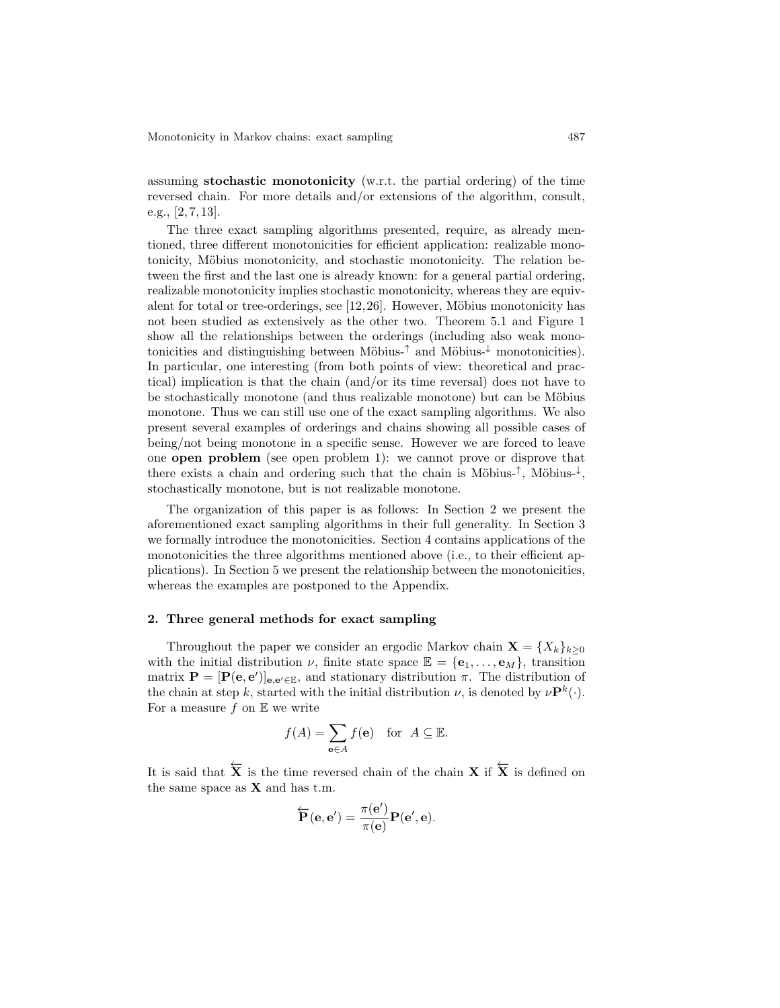assuming stochastic monotonicity (w.r.t. the partial ordering) of the time reversed chain. For more details and/or extensions of the algorithm, consult, e.g., [2, 7, 13].

The three exact sampling algorithms presented, require, as already mentioned, three different monotonicities for efficient application: realizable monotonicity, Möbius monotonicity, and stochastic monotonicity. The relation between the first and the last one is already known: for a general partial ordering, realizable monotonicity implies stochastic monotonicity, whereas they are equivalent for total or tree-orderings, see  $[12,26]$ . However, Möbius monotonicity has not been studied as extensively as the other two. Theorem 5.1 and Figure 1 show all the relationships between the orderings (including also weak monotonicities and distinguishing between Möbius- $\uparrow$  and Möbius- $\downarrow$  monotonicities). In particular, one interesting (from both points of view: theoretical and practical) implication is that the chain (and/or its time reversal) does not have to be stochastically monotone (and thus realizable monotone) but can be Möbius monotone. Thus we can still use one of the exact sampling algorithms. We also present several examples of orderings and chains showing all possible cases of being/not being monotone in a specific sense. However we are forced to leave one open problem (see open problem 1): we cannot prove or disprove that there exists a chain and ordering such that the chain is Möbius- $\uparrow$ , Möbius- $\dagger$ , stochastically monotone, but is not realizable monotone.

The organization of this paper is as follows: In Section 2 we present the aforementioned exact sampling algorithms in their full generality. In Section 3 we formally introduce the monotonicities. Section 4 contains applications of the monotonicities the three algorithms mentioned above (i.e., to their efficient applications). In Section 5 we present the relationship between the monotonicities, whereas the examples are postponed to the Appendix.

#### 2. Three general methods for exact sampling

Throughout the paper we consider an ergodic Markov chain  $\mathbf{X} = \{X_k\}_{k\geq 0}$ with the initial distribution  $\nu$ , finite state space  $\mathbb{E} = {\mathbf{e}_1, \dots, \mathbf{e}_M}$ , transition matrix  $\mathbf{P} = [\mathbf{P}(\mathbf{e}, \mathbf{e}')]_{\mathbf{e}, \mathbf{e}' \in \mathbb{E}}$ , and stationary distribution  $\pi$ . The distribution of the chain at step k, started with the initial distribution  $\nu$ , is denoted by  $\nu \mathbf{P}^k(\cdot)$ . For a measure  $f$  on  $E$  we write

$$
f(A) = \sum_{\mathbf{e} \in A} f(\mathbf{e}) \quad \text{for } A \subseteq \mathbb{E}.
$$

It is said that  $\overleftarrow{X}$  is the time reversed chain of the chain  $X$  if  $\overleftarrow{X}$  is defined on the same space as  $X$  and has t.m.

$$
\overleftarrow{\mathbf{P}}(\mathbf{e},\mathbf{e}') = \frac{\pi(\mathbf{e}')}{\pi(\mathbf{e})}\mathbf{P}(\mathbf{e}',\mathbf{e}).
$$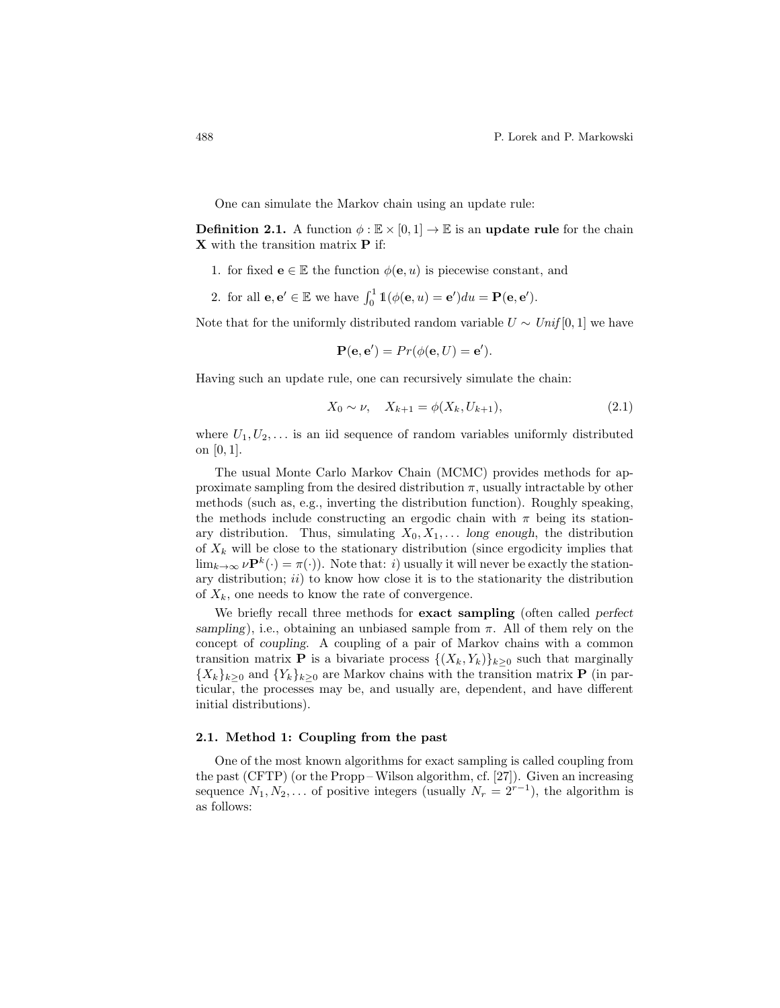One can simulate the Markov chain using an update rule:

**Definition 2.1.** A function  $\phi : \mathbb{E} \times [0,1] \to \mathbb{E}$  is an update rule for the chain X with the transition matrix P if:

- 1. for fixed **e**  $\in \mathbb{E}$  the function  $\phi(\mathbf{e}, u)$  is piecewise constant, and
- 2. for all  $\mathbf{e}, \mathbf{e}' \in \mathbb{E}$  we have  $\int_0^1 \mathbb{1}(\phi(\mathbf{e}, u) = \mathbf{e}') du = \mathbf{P}(\mathbf{e}, \mathbf{e}').$

Note that for the uniformly distributed random variable  $U \sim Unif[0,1]$  we have

$$
\mathbf{P}(\mathbf{e}, \mathbf{e}') = Pr(\phi(\mathbf{e}, U) = \mathbf{e}').
$$

Having such an update rule, one can recursively simulate the chain:

$$
X_0 \sim \nu, \quad X_{k+1} = \phi(X_k, U_{k+1}), \tag{2.1}
$$

where  $U_1, U_2, \ldots$  is an iid sequence of random variables uniformly distributed on [0, 1].

The usual Monte Carlo Markov Chain (MCMC) provides methods for approximate sampling from the desired distribution  $\pi$ , usually intractable by other methods (such as, e.g., inverting the distribution function). Roughly speaking, the methods include constructing an ergodic chain with  $\pi$  being its stationary distribution. Thus, simulating  $X_0, X_1, \ldots$  long enough, the distribution of  $X_k$  will be close to the stationary distribution (since ergodicity implies that  $\lim_{k\to\infty}\nu\mathbf{P}^k(\cdot) = \pi(\cdot)$ . Note that: *i*) usually it will never be exactly the stationary distribution;  $ii)$  to know how close it is to the stationarity the distribution of  $X_k$ , one needs to know the rate of convergence.

We briefly recall three methods for **exact sampling** (often called *perfect* sampling), i.e., obtaining an unbiased sample from  $\pi$ . All of them rely on the concept of coupling. A coupling of a pair of Markov chains with a common transition matrix **P** is a bivariate process  $\{(X_k, Y_k)\}_{k\geq 0}$  such that marginally  ${X_k}_{k>0}$  and  ${Y_k}_{k>0}$  are Markov chains with the transition matrix **P** (in particular, the processes may be, and usually are, dependent, and have different initial distributions).

# 2.1. Method 1: Coupling from the past

One of the most known algorithms for exact sampling is called coupling from the past (CFTP) (or the Propp –Wilson algorithm, cf. [27]). Given an increasing sequence  $N_1, N_2, \ldots$  of positive integers (usually  $N_r = 2^{r-1}$ ), the algorithm is as follows: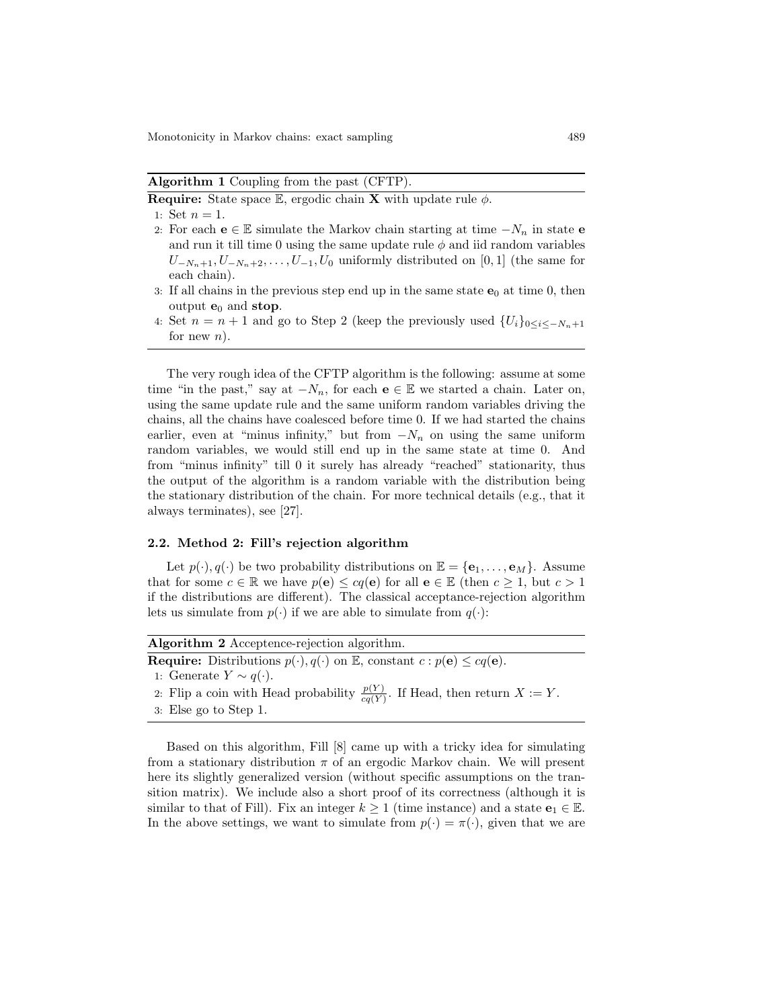# Algorithm 1 Coupling from the past (CFTP).

**Require:** State space  $\mathbb{E}$ , ergodic chain **X** with update rule  $\phi$ .

1: Set  $n = 1$ .

- 2: For each  $e \in \mathbb{E}$  simulate the Markov chain starting at time  $-N_n$  in state  $e$ and run it till time 0 using the same update rule  $\phi$  and iid random variables  $U_{-N_n+1}, U_{-N_n+2}, \ldots, U_{-1}, U_0$  uniformly distributed on [0, 1] (the same for each chain).
- 3: If all chains in the previous step end up in the same state  $e_0$  at time 0, then output  $e_0$  and stop.
- 4: Set  $n = n + 1$  and go to Step 2 (keep the previously used  $\{U_i\}_{0 \leq i \leq -N_n+1}$ for new  $n$ ).

The very rough idea of the CFTP algorithm is the following: assume at some time "in the past," say at  $-N_n$ , for each  $e \in \mathbb{E}$  we started a chain. Later on, using the same update rule and the same uniform random variables driving the chains, all the chains have coalesced before time 0. If we had started the chains earlier, even at "minus infinity," but from  $-N_n$  on using the same uniform random variables, we would still end up in the same state at time 0. And from "minus infinity" till 0 it surely has already "reached" stationarity, thus the output of the algorithm is a random variable with the distribution being the stationary distribution of the chain. For more technical details (e.g., that it always terminates), see [27].

# 2.2. Method 2: Fill's rejection algorithm

Let  $p(\cdot), q(\cdot)$  be two probability distributions on  $\mathbb{E} = {\mathbf{e}_1, \dots, \mathbf{e}_M}$ . Assume that for some  $c \in \mathbb{R}$  we have  $p(\mathbf{e}) \leq cq(\mathbf{e})$  for all  $\mathbf{e} \in \mathbb{E}$  (then  $c \geq 1$ , but  $c > 1$ ) if the distributions are different). The classical acceptance-rejection algorithm lets us simulate from  $p(\cdot)$  if we are able to simulate from  $q(\cdot)$ :

| <b>Algorithm 2</b> Acceptence-rejection algorithm.                                                                      |  |
|-------------------------------------------------------------------------------------------------------------------------|--|
| <b>Require:</b> Distributions $p(\cdot), q(\cdot)$ on $\mathbb{E}$ , constant $c : p(\mathbf{e}) \leq cq(\mathbf{e})$ . |  |
| 1: Generate $Y \sim q(\cdot)$ .                                                                                         |  |
| 2: Flip a coin with Head probability $\frac{p(Y)}{cq(Y)}$ . If Head, then return $X := Y$ .                             |  |
| 3: Else go to Step 1.                                                                                                   |  |

Based on this algorithm, Fill [8] came up with a tricky idea for simulating from a stationary distribution  $\pi$  of an ergodic Markov chain. We will present here its slightly generalized version (without specific assumptions on the transition matrix). We include also a short proof of its correctness (although it is similar to that of Fill). Fix an integer  $k \geq 1$  (time instance) and a state  $e_1 \in \mathbb{E}$ . In the above settings, we want to simulate from  $p(\cdot) = \pi(\cdot)$ , given that we are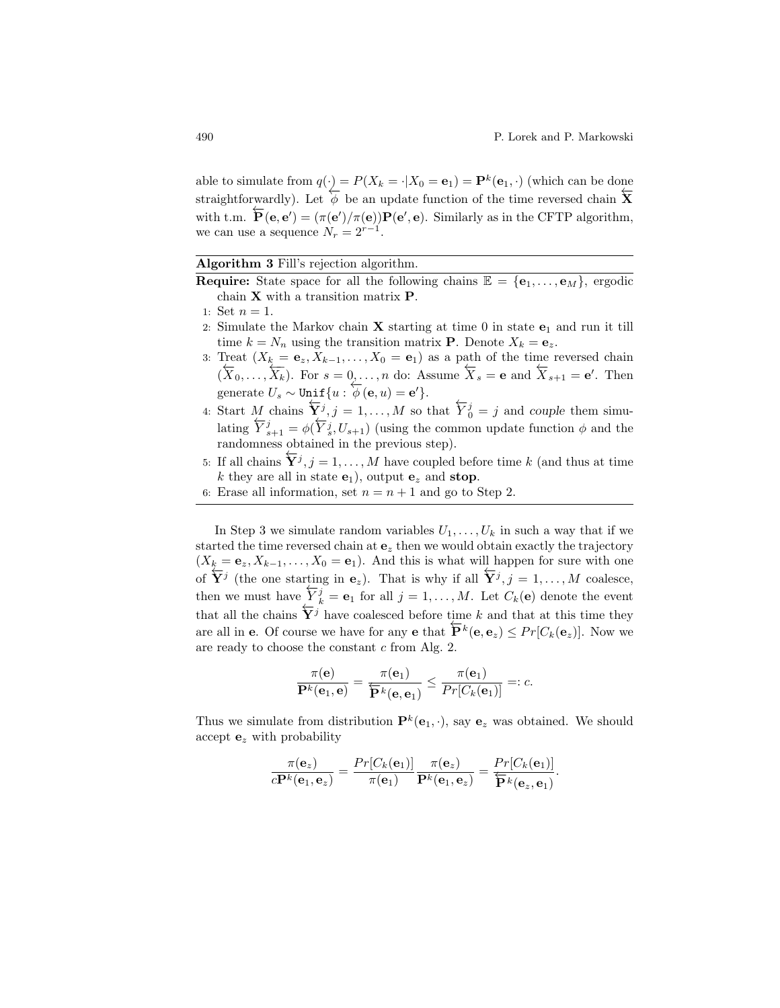able to simulate from  $q(\cdot) = P(X_k = \cdot | X_0 = \mathbf{e}_1) = \mathbf{P}^k(\mathbf{e}_1, \cdot)$  (which can be done straightforwardly). Let  $\overleftarrow{\phi}$  be an update function of the time reversed chain  $\overleftarrow{\mathbf{X}}$ with t.m.  $\overleftarrow{P}(\mathbf{e}, \mathbf{e}') = (\pi(\mathbf{e}')/\pi(\mathbf{e}))P(\mathbf{e}', \mathbf{e})$ . Similarly as in the CFTP algorithm, we can use a sequence  $N_r = 2^{r-1}$ .

Algorithm 3 Fill's rejection algorithm.

**Require:** State space for all the following chains  $\mathbb{E} = {\mathbf{e}_1, \dots, \mathbf{e}_M}$ , ergodic chain X with a transition matrix P.

- 1: Set  $n = 1$ .
- 2: Simulate the Markov chain  $X$  starting at time 0 in state  $e_1$  and run it till time  $k = N_n$  using the transition matrix **P**. Denote  $X_k = \mathbf{e}_z$ .
- 3: Treat  $(X_k = \mathbf{e}_z, X_{k-1}, \ldots, X_0 = \mathbf{e}_1)$  as a path of the time reversed chain  $(\overleftarrow{X}_0,\ldots,\overleftarrow{X}_k)$ . For  $s=0,\ldots,n$  do: Assume  $\overleftarrow{X}_s = \mathbf{e}$  and  $\overleftarrow{X}_{s+1} = \mathbf{e}'$ . Then generate  $U_s \sim \text{Unif}\{u : \overleftarrow{\phi}(\mathbf{e}, u) = \mathbf{e}'\}.$
- 4: Start M chains  $\overleftarrow{Y}_j, j = 1, \ldots, M$  so that  $\overleftarrow{Y}_0^j = j$  and couple them simulating  $\overleftarrow{Y}_{s+1}^j = \phi(\overleftarrow{Y}_{s}^j, U_{s+1})$  (using the common update function  $\phi$  and the randomness obtained in the previous step).
- 5: If all chains  $\overleftarrow{\mathbf{Y}}^j, j = 1, \ldots, M$  have coupled before time k (and thus at time k they are all in state  $e_1$ , output  $e_z$  and stop.
- 6: Erase all information, set  $n = n + 1$  and go to Step 2.

In Step 3 we simulate random variables  $U_1, \ldots, U_k$  in such a way that if we started the time reversed chain at  $e_z$  then we would obtain exactly the trajectory  $(X_k = e_z, X_{k-1}, \ldots, X_0 = e_1)$ . And this is what will happen for sure with one of  $\overleftarrow{\mathbf{Y}}^j$  (the one starting in  $\mathbf{e}_z$ ). That is why if all  $\overleftarrow{\mathbf{Y}}^j$ ,  $j = 1, ..., M$  coalesce, then we must have  $\sum_{k=1}^{j}$  =  $\mathbf{e}_1$  for all  $j = 1, \ldots, M$ . Let  $C_k(\mathbf{e})$  denote the event that all the chains  $\overleftarrow{Y}^j$  have coalesced before time k and that at this time they are all in **e**. Of course we have for any **e** that  $\overleftarrow{P}^k(\mathbf{e}, \mathbf{e}_z) \leq Pr[C_k(\mathbf{e}_z)]$ . Now we are ready to choose the constant  $c$  from Alg. 2.

$$
\frac{\pi(\mathbf{e})}{\mathbf{P}^k(\mathbf{e}_1, \mathbf{e})} = \frac{\pi(\mathbf{e}_1)}{\overleftarrow{\mathbf{P}^k(\mathbf{e}, \mathbf{e}_1)}} \leq \frac{\pi(\mathbf{e}_1)}{Pr[C_k(\mathbf{e}_1)]} =: c.
$$

Thus we simulate from distribution  $\mathbf{P}^k(\mathbf{e}_1, \cdot)$ , say  $\mathbf{e}_z$  was obtained. We should accept  $e_z$  with probability

$$
\frac{\pi(\mathbf{e}_z)}{c\mathbf{P}^k(\mathbf{e}_1,\mathbf{e}_z)} = \frac{Pr[C_k(\mathbf{e}_1)]}{\pi(\mathbf{e}_1)} \frac{\pi(\mathbf{e}_z)}{\mathbf{P}^k(\mathbf{e}_1,\mathbf{e}_z)} = \frac{Pr[C_k(\mathbf{e}_1)]}{\overleftarrow{\mathbf{P}}^k(\mathbf{e}_z,\mathbf{e}_1)}.
$$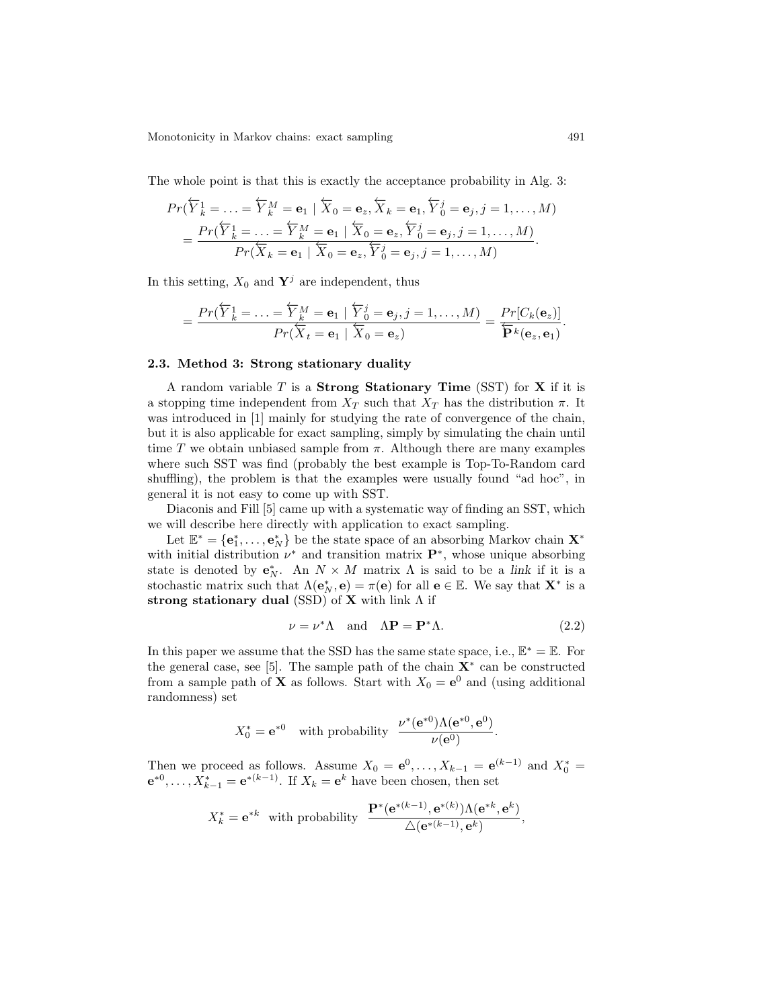The whole point is that this is exactly the acceptance probability in Alg. 3:

$$
Pr(\overleftarrow{Y}_k^1 = \ldots = \overleftarrow{Y}_k^M = \mathbf{e}_1 | \overleftarrow{X}_0 = \mathbf{e}_z, \overleftarrow{X}_k = \mathbf{e}_1, \overleftarrow{Y}_0^j = \mathbf{e}_j, j = 1, \ldots, M)
$$
  
= 
$$
\frac{Pr(\overleftarrow{Y}_k^1 = \ldots = \overleftarrow{Y}_k^M = \mathbf{e}_1 | \overleftarrow{X}_0 = \mathbf{e}_z, \overleftarrow{Y}_0^j = \mathbf{e}_j, j = 1, \ldots, M)}{Pr(\overleftarrow{X}_k = \mathbf{e}_1 | \overleftarrow{X}_0 = \mathbf{e}_z, \overleftarrow{Y}_0^j = \mathbf{e}_j, j = 1, \ldots, M)}.
$$

In this setting,  $X_0$  and  $\mathbf{Y}^j$  are independent, thus

$$
= \frac{Pr(\overleftarrow{Y}_k^1 = \ldots = \overleftarrow{Y}_k^M = \mathbf{e}_1 \mid \overleftarrow{Y}_0^j = \mathbf{e}_j, j = 1, \ldots, M)}{Pr(\overleftarrow{X}_t = \mathbf{e}_1 \mid \overleftarrow{X}_0 = \mathbf{e}_z)} = \frac{Pr[C_k(\mathbf{e}_z)]}{\overleftarrow{P}^k(\mathbf{e}_z, \mathbf{e}_1)}.
$$

# 2.3. Method 3: Strong stationary duality

A random variable  $T$  is a **Strong Stationary Time** (SST) for  $X$  if it is a stopping time independent from  $X_T$  such that  $X_T$  has the distribution  $\pi$ . It was introduced in [1] mainly for studying the rate of convergence of the chain, but it is also applicable for exact sampling, simply by simulating the chain until time T we obtain unbiased sample from  $\pi$ . Although there are many examples where such SST was find (probably the best example is Top-To-Random card shuffling), the problem is that the examples were usually found "ad hoc", in general it is not easy to come up with SST.

Diaconis and Fill [5] came up with a systematic way of finding an SST, which we will describe here directly with application to exact sampling.

Let  $\mathbb{E}^* = {\mathbf{e}_1^*, \dots, \mathbf{e}_N^*}$  be the state space of an absorbing Markov chain  $\mathbf{X}^*$ with initial distribution  $\nu^*$  and transition matrix  $\mathbf{P}^*$ , whose unique absorbing state is denoted by  $\mathbf{e}_N^*$ . An  $N \times M$  matrix  $\Lambda$  is said to be a link if it is a stochastic matrix such that  $\Lambda(\mathbf{e}_N^*, \mathbf{e}) = \pi(\mathbf{e})$  for all  $\mathbf{e} \in \mathbb{E}$ . We say that  $\mathbf{X}^*$  is a strong stationary dual (SSD) of  $X$  with link  $\Lambda$  if

$$
\nu = \nu^* \Lambda \quad \text{and} \quad \Lambda \mathbf{P} = \mathbf{P}^* \Lambda. \tag{2.2}
$$

In this paper we assume that the SSD has the same state space, i.e.,  $\mathbb{E}^* = \mathbb{E}$ . For the general case, see [5]. The sample path of the chain  $X^*$  can be constructed from a sample path of **X** as follows. Start with  $X_0 = e^0$  and (using additional randomness) set

$$
X_0^* = \mathbf{e}^{*0} \quad \text{with probability} \quad \frac{\nu^*(\mathbf{e}^{*0})\Lambda(\mathbf{e}^{*0}, \mathbf{e}^0)}{\nu(\mathbf{e}^0)}.
$$

Then we proceed as follows. Assume  $X_0 = e^0, ..., X_{k-1} = e^{(k-1)}$  and  $X_0^* =$  $e^{*0}, \ldots, X_{k-1}^* = e^{*(k-1)}$ . If  $X_k = e^k$  have been chosen, then set

$$
X_k^* = \mathbf{e}^{*k} \text{ with probability } \frac{\mathbf{P}^*(\mathbf{e}^{*(k-1)}, \mathbf{e}^{*(k)}) \Lambda(\mathbf{e}^{*k}, \mathbf{e}^k)}{\Delta(\mathbf{e}^{*(k-1)}, \mathbf{e}^k)},
$$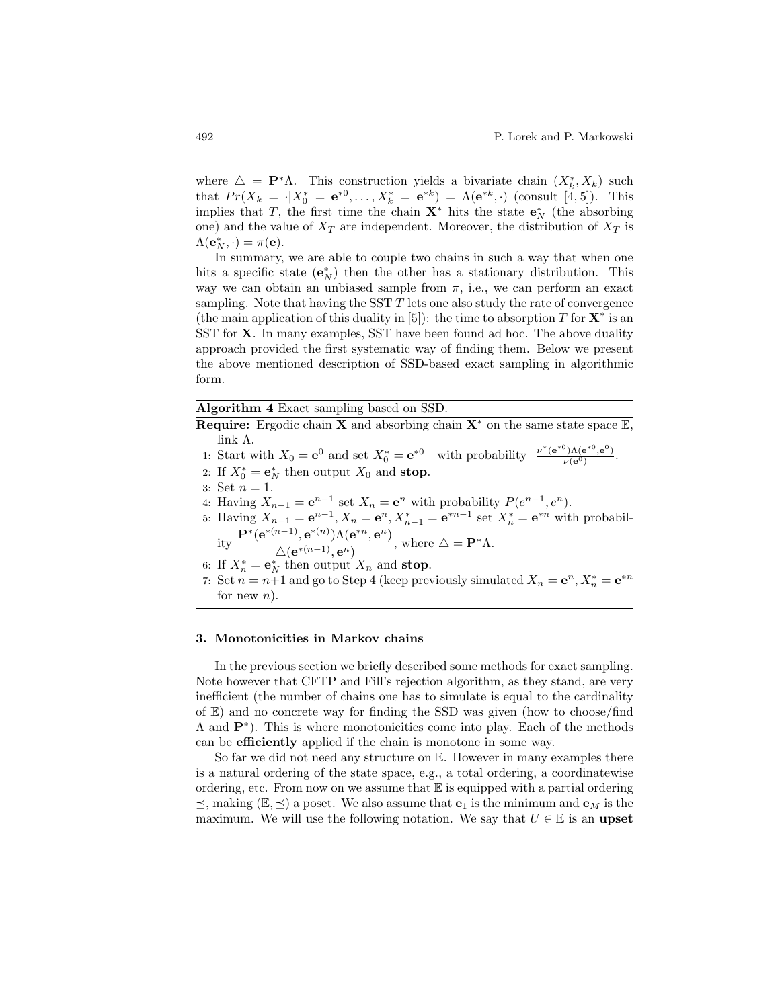where  $\Delta = \mathbf{P}^*\Lambda$ . This construction yields a bivariate chain  $(X_k^*, X_k)$  such that  $Pr(X_k = \cdot | X_0^* = \mathbf{e}^{*0}, \dots, X_k^* = \mathbf{e}^{*k}) = \Lambda(\mathbf{e}^{*k}, \cdot)$  (consult [4, 5]). This implies that T, the first time the chain  $\mathbf{X}^*$  hits the state  $\mathbf{e}_N^*$  (the absorbing one) and the value of  $X_T$  are independent. Moreover, the distribution of  $X_T$  is  $\Lambda(\mathbf{e}_N^*,\cdot) = \pi(\mathbf{e}).$ 

In summary, we are able to couple two chains in such a way that when one hits a specific state  $(e_N^*)$  then the other has a stationary distribution. This way we can obtain an unbiased sample from  $\pi$ , i.e., we can perform an exact sampling. Note that having the  $SSTT$  lets one also study the rate of convergence (the main application of this duality in [5]): the time to absorption T for  $X^*$  is an SST for X. In many examples, SST have been found ad hoc. The above duality approach provided the first systematic way of finding them. Below we present the above mentioned description of SSD-based exact sampling in algorithmic form.

Algorithm 4 Exact sampling based on SSD.

**Require:** Ergodic chain **X** and absorbing chain  $X^*$  on the same state space E, link Λ.

- 1: Start with  $X_0 = e^0$  and set  $X_0^* = e^{*0}$  with probability  $\frac{\nu^*(e^{*0})\Lambda(e^{*0}, e^0)}{\nu(e^0)}$ .
- 2: If  $X_0^* = \mathbf{e}_N^*$  then output  $X_0$  and stop.
- 3: Set  $n = 1$ .
- 4: Having  $X_{n-1} = e^{n-1}$  set  $X_n = e^n$  with probability  $P(e^{n-1}, e^n)$ .
- 5: Having  $X_{n-1} = e^{n-1}$ ,  $X_n = e^n$ ,  $X_{n-1}^* = e^{n-1}$  set  $X_n^* = e^{n}$  with probability  $\frac{\mathbf{P}^*(\mathbf{e}^{*(n-1)}, \mathbf{e}^{*(n)})\Lambda(\mathbf{e}^{*n}, \mathbf{e}^n)}{\Lambda(\Lambda(n-1)-n)}$
- $\frac{\Delta(e^{*(n-1)}, e^n)}{\Delta(e^{*(n-1)}, e^n)}$ , where  $\Delta = \mathbf{P}^* \Lambda$ .
- 6: If  $X_n^* = \mathbf{e}_N^*$  then output  $X_n$  and stop.
- 7: Set  $n = n+1$  and go to Step 4 (keep previously simulated  $X_n = e^n, X_n^* = e^{*n}$ for new  $n$ ).

# 3. Monotonicities in Markov chains

In the previous section we briefly described some methods for exact sampling. Note however that CFTP and Fill's rejection algorithm, as they stand, are very inefficient (the number of chains one has to simulate is equal to the cardinality of  $E$ ) and no concrete way for finding the SSD was given (how to choose/find Λ and P<sup>∗</sup> ). This is where monotonicities come into play. Each of the methods can be efficiently applied if the chain is monotone in some way.

So far we did not need any structure on  $\mathbb{E}$ . However in many examples there is a natural ordering of the state space, e.g., a total ordering, a coordinatewise ordering, etc. From now on we assume that  $E$  is equipped with a partial ordering  $\preceq$ , making ( $\mathbb{E}, \preceq$ ) a poset. We also assume that  $\mathbf{e}_1$  is the minimum and  $\mathbf{e}_M$  is the maximum. We will use the following notation. We say that  $U \in \mathbb{E}$  is an upset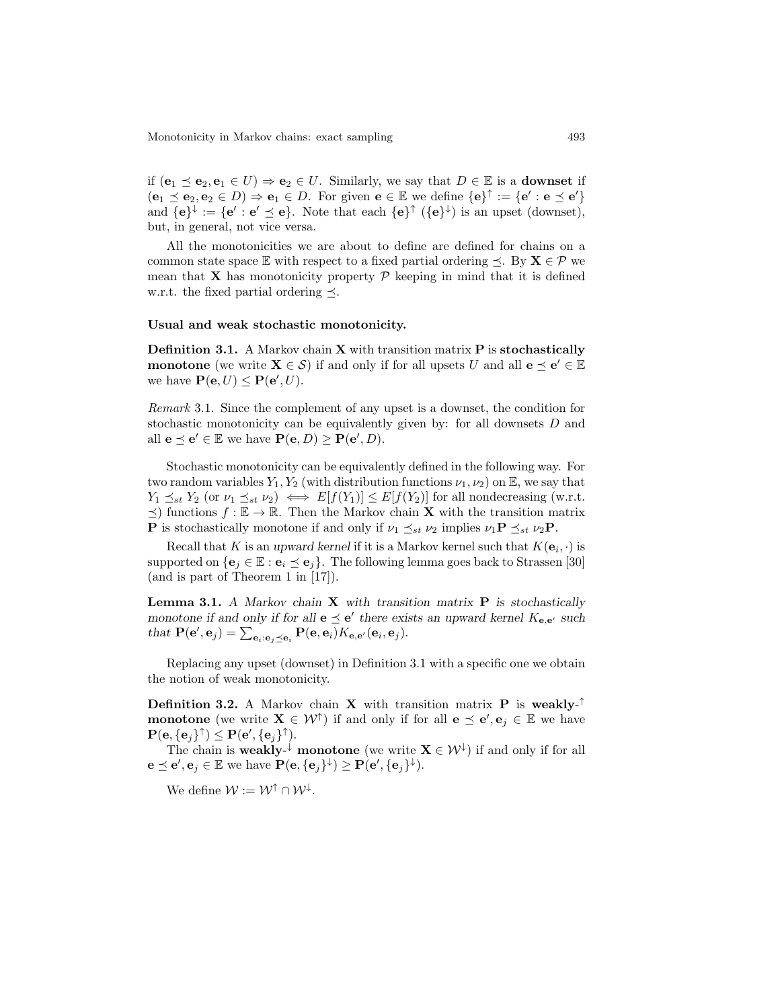if  $(e_1 \preceq e_2, e_1 \in U) \Rightarrow e_2 \in U$ . Similarly, we say that  $D \in \mathbb{E}$  is a **downset** if  $(\mathbf{e}_1 \preceq \mathbf{e}_2, \mathbf{e}_2 \in D) \Rightarrow \mathbf{e}_1 \in D$ . For given  $\mathbf{e} \in \mathbb{E}$  we define  $\{\mathbf{e}\}^{\uparrow} := \{\mathbf{e}' : \mathbf{e} \preceq \mathbf{e}'\}$ and  $\{e\}^{\downarrow} := \{e' : e' \preceq e\}$ . Note that each  $\{e\}^{\uparrow} (\{e\}^{\downarrow})$  is an upset (downset), but, in general, not vice versa.

All the monotonicities we are about to define are defined for chains on a common state space E with respect to a fixed partial ordering  $\prec$ . By  $X \in \mathcal{P}$  we mean that **X** has monotonicity property  $P$  keeping in mind that it is defined w.r.t. the fixed partial ordering  $\prec$ .

#### Usual and weak stochastic monotonicity.

**Definition 3.1.** A Markov chain  $X$  with transition matrix  $P$  is stochastically monotone (we write  $X \in S$ ) if and only if for all upsets U and all  $e \preceq e' \in \mathbb{E}$ we have  $\mathbf{P}(\mathbf{e}, U) \leq \mathbf{P}(\mathbf{e}', U)$ .

Remark 3.1. Since the complement of any upset is a downset, the condition for stochastic monotonicity can be equivalently given by: for all downsets D and all  $\mathbf{e} \preceq \mathbf{e}' \in \mathbb{E}$  we have  $\mathbf{P}(\mathbf{e}, D) \ge \mathbf{P}(\mathbf{e}', D)$ .

Stochastic monotonicity can be equivalently defined in the following way. For two random variables  $Y_1, Y_2$  (with distribution functions  $\nu_1, \nu_2$ ) on  $\mathbb{E}$ , we say that  $Y_1 \preceq_{st} Y_2$  (or  $\nu_1 \preceq_{st} \nu_2$ )  $\iff E[f(Y_1)] \leq E[f(Y_2)]$  for all nondecreasing (w.r.t.  $\preceq$ ) functions  $f : \mathbb{E} \to \mathbb{R}$ . Then the Markov chain **X** with the transition matrix **P** is stochastically monotone if and only if  $\nu_1 \preceq_{st} \nu_2$  implies  $\nu_1 \mathbf{P} \preceq_{st} \nu_2 \mathbf{P}$ .

Recall that K is an upward kernel if it is a Markov kernel such that  $K(\mathbf{e}_i, \cdot)$  is supported on  $\{e_j \in \mathbb{E} : e_i \leq e_j\}$ . The following lemma goes back to Strassen [30] (and is part of Theorem 1 in [17]).

Lemma 3.1. A Markov chain  $X$  with transition matrix  $P$  is stochastically monotone if and only if for all  $e \preceq e'$  there exists an upward kernel  $K_{e,e'}$  such that  $P(\mathbf{e}', \mathbf{e}_j) = \sum_{\mathbf{e}_i : \mathbf{e}_j \preceq \mathbf{e}_i} P(\mathbf{e}, \mathbf{e}_i) K_{\mathbf{e}, \mathbf{e}'}(\mathbf{e}_i, \mathbf{e}_j).$ 

Replacing any upset (downset) in Definition 3.1 with a specific one we obtain the notion of weak monotonicity.

**Definition 3.2.** A Markov chain **X** with transition matrix **P** is weakly- $\uparrow$ **monotone** (we write  $X \in \mathcal{W}^{\uparrow}$ ) if and only if for all  $e \preceq e', e_j \in \mathbb{E}$  we have  $\mathbf{P}(\mathbf{e}, \{\mathbf{e}_j\}^\uparrow) \leq \mathbf{P}(\mathbf{e}', \{\mathbf{e}_j\}^\uparrow).$ 

The chain is **weakly**<sup>- $\downarrow$ </sup> **monotone** (we write  $X \in \mathcal{W}^{\downarrow}$ ) if and only if for all  $\mathbf{e} \preceq \mathbf{e}', \mathbf{e}_j \in \mathbb{E}$  we have  $\mathbf{P}(\mathbf{e}, {\{\mathbf{e}_j\}}^\downarrow) \geq \mathbf{P}(\mathbf{e}', {\{\mathbf{e}_j\}}^\downarrow)$ .

We define  $W := \mathcal{W}^{\uparrow} \cap \mathcal{W}^{\downarrow}$ .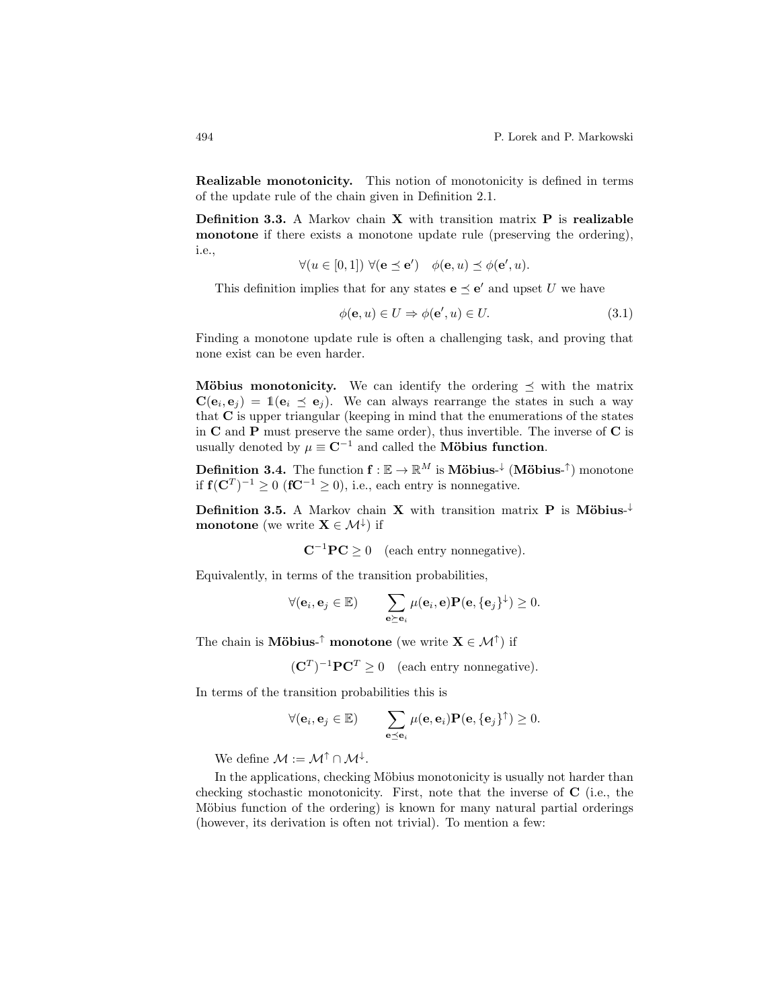Realizable monotonicity. This notion of monotonicity is defined in terms of the update rule of the chain given in Definition 2.1.

Definition 3.3. A Markov chain  $X$  with transition matrix  $P$  is realizable monotone if there exists a monotone update rule (preserving the ordering), i.e.,

$$
\forall (u \in [0,1]) \ \forall (\mathbf{e} \preceq \mathbf{e}') \quad \phi(\mathbf{e},u) \preceq \phi(\mathbf{e}',u).
$$

This definition implies that for any states  $\mathbf{e} \preceq \mathbf{e}'$  and upset U we have

$$
\phi(\mathbf{e}, u) \in U \Rightarrow \phi(\mathbf{e}', u) \in U. \tag{3.1}
$$

Finding a monotone update rule is often a challenging task, and proving that none exist can be even harder.

**Möbius monotonicity.** We can identify the ordering  $\leq$  with the matrix  $\mathbf{C}(\mathbf{e}_i, \mathbf{e}_j) = \mathbb{1}(\mathbf{e}_i \preceq \mathbf{e}_j)$ . We can always rearrange the states in such a way that C is upper triangular (keeping in mind that the enumerations of the states in  $C$  and  $P$  must preserve the same order), thus invertible. The inverse of  $C$  is usually denoted by  $\mu \equiv \mathbb{C}^{-1}$  and called the **Möbius function**.

**Definition 3.4.** The function  $f : \mathbb{E} \to \mathbb{R}^M$  is **Möbius**- $\downarrow$  (**Möbius**- $\uparrow$ ) monotone if  $f(C^T)^{-1} \ge 0$  ( $fC^{-1} \ge 0$ ), i.e., each entry is nonnegative.

Definition 3.5. A Markov chain X with transition matrix P is Möbius- $\downarrow$ **monotone** (we write  $\mathbf{X} \in \mathcal{M}^{\downarrow}$ ) if

 $C^{-1}PC \ge 0$  (each entry nonnegative).

Equivalently, in terms of the transition probabilities,

$$
\forall (\mathbf{e}_i, \mathbf{e}_j \in \mathbb{E}) \qquad \sum_{\mathbf{e} \succeq \mathbf{e}_i} \mu(\mathbf{e}_i, \mathbf{e}) \mathbf{P}(\mathbf{e}, \{\mathbf{e}_j\}^{\downarrow}) \geq 0.
$$

The chain is **Möbius-<sup>** $\uparrow$ **</sup> monotone** (we write  $\mathbf{X} \in \mathcal{M}^{\uparrow}$ ) if

$$
(\mathbf{C}^T)^{-1}\mathbf{P}\mathbf{C}^T \ge 0 \quad \text{(each entry nonnegative)}.
$$

In terms of the transition probabilities this is

$$
\forall (\mathbf{e}_i, \mathbf{e}_j \in \mathbb{E}) \qquad \sum_{\mathbf{e} \preceq \mathbf{e}_i} \mu(\mathbf{e}, \mathbf{e}_i) \mathbf{P}(\mathbf{e}, \{\mathbf{e}_j\}^{\uparrow}) \geq 0.
$$

We define  $\mathcal{M} := \mathcal{M}^{\uparrow} \cap \mathcal{M}^{\downarrow}$ .

In the applications, checking Möbius monotonicity is usually not harder than checking stochastic monotonicity. First, note that the inverse of  $C$  (i.e., the Möbius function of the ordering) is known for many natural partial orderings (however, its derivation is often not trivial). To mention a few: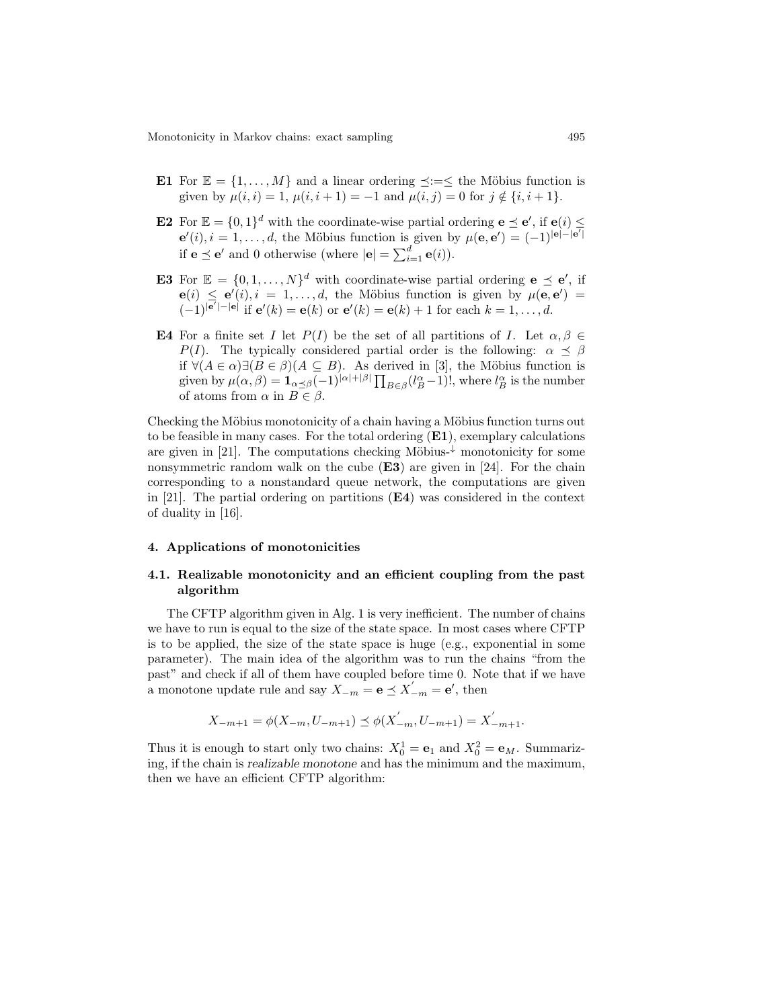- E1 For  $\mathbb{E} = \{1, \ldots, M\}$  and a linear ordering  $\preceq := \preceq$  the Möbius function is given by  $\mu(i, i) = 1$ ,  $\mu(i, i + 1) = -1$  and  $\mu(i, j) = 0$  for  $j \notin \{i, i + 1\}$ .
- **E2** For  $\mathbb{E} = \{0,1\}^d$  with the coordinate-wise partial ordering  $\mathbf{e} \preceq \mathbf{e}'$ , if  $\mathbf{e}(i) \preceq$  $e'(i)$ ,  $i = 1, \ldots, d$ , the Möbius function is given by  $\mu(e, e') = (-1)^{|e| - |e'|}$ if  $\mathbf{e} \preceq \mathbf{e}'$  and 0 otherwise (where  $|\mathbf{e}| = \sum_{i=1}^{d} \mathbf{e}(i)$ ).
- **E3** For  $\mathbb{E} = \{0, 1, ..., N\}^d$  with coordinate-wise partial ordering  $\mathbf{e} \preceq \mathbf{e}'$ , if  $e(i) \leq e'(i), i = 1, \ldots, d$ , the Möbius function is given by  $\mu(e, e') =$  $(-1)^{|\overline{e'}|-|\mathbf{e}|}$  if  $\mathbf{e'}(k) = \mathbf{e}(k)$  or  $\mathbf{e'}(k) = \mathbf{e}(k) + 1$  for each  $k = 1, ..., d$ .
- E4 For a finite set I let  $P(I)$  be the set of all partitions of I. Let  $\alpha, \beta \in$  $P(I)$ . The typically considered partial order is the following:  $\alpha \preceq \beta$ if  $\forall (A \in \alpha) \exists (B \in \beta) (A \subseteq B)$ . As derived in [3], the Möbius function is given by  $\mu(\alpha, \beta) = \mathbf{1}_{\alpha \leq \beta} (-1)^{|\alpha| + |\beta|} \prod_{B \in \beta} (l_B^{\alpha} - 1)!,$  where  $l_B^{\alpha}$  is the number of atoms from  $\alpha$  in  $B \in \beta$ .

Checking the Möbius monotonicity of a chain having a Möbius function turns out to be feasible in many cases. For the total ordering  $(E1)$ , exemplary calculations are given in [21]. The computations checking Möbius- $\frac{1}{2}$  monotonicity for some nonsymmetric random walk on the cube  $(E3)$  are given in [24]. For the chain corresponding to a nonstandard queue network, the computations are given in [21]. The partial ordering on partitions (E4) was considered in the context of duality in [16].

# 4. Applications of monotonicities

# 4.1. Realizable monotonicity and an efficient coupling from the past algorithm

The CFTP algorithm given in Alg. 1 is very inefficient. The number of chains we have to run is equal to the size of the state space. In most cases where CFTP is to be applied, the size of the state space is huge (e.g., exponential in some parameter). The main idea of the algorithm was to run the chains "from the past" and check if all of them have coupled before time 0. Note that if we have a monotone update rule and say  $X_{-m} = e \preceq X'_{-m} = e'$ , then

$$
X_{-m+1} = \phi(X_{-m}, U_{-m+1}) \preceq \phi(X'_{-m}, U_{-m+1}) = X'_{-m+1}.
$$

Thus it is enough to start only two chains:  $X_0^1 = \mathbf{e}_1$  and  $X_0^2 = \mathbf{e}_M$ . Summarizing, if the chain is realizable monotone and has the minimum and the maximum, then we have an efficient CFTP algorithm: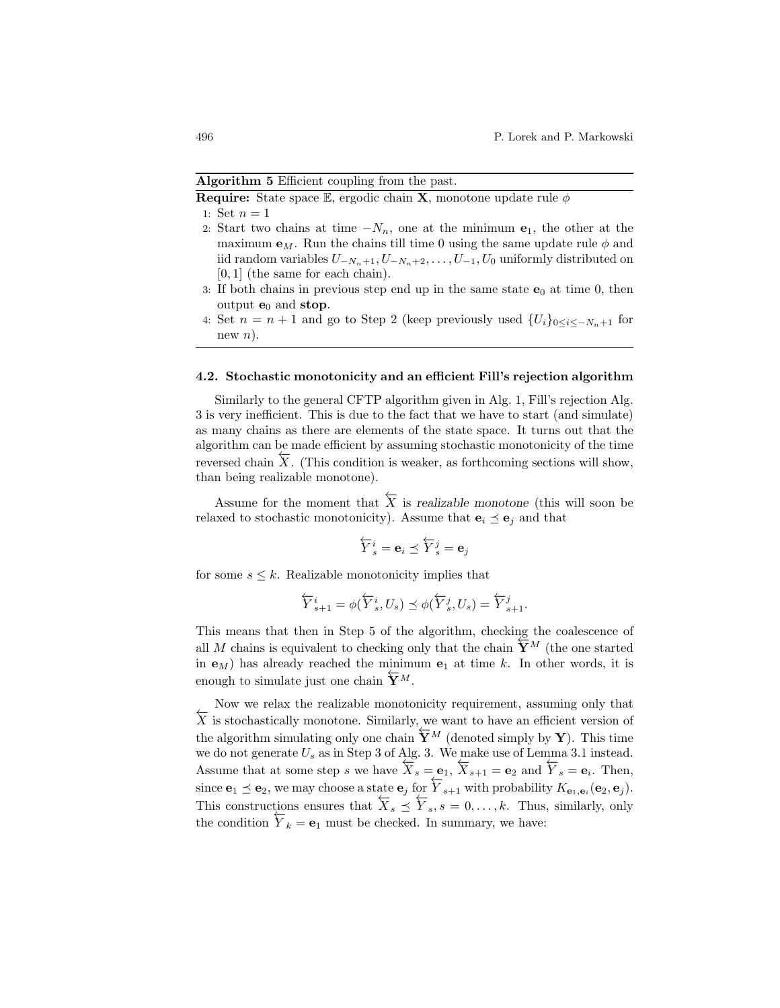## Algorithm 5 Efficient coupling from the past.

**Require:** State space E, ergodic chain **X**, monotone update rule  $\phi$ 

1: Set  $n = 1$ 

- 2: Start two chains at time  $-N_n$ , one at the minimum  $e_1$ , the other at the maximum  $e_M$ . Run the chains till time 0 using the same update rule  $\phi$  and iid random variables  $U_{-N_n+1}, U_{-N_n+2}, \ldots, U_{-1}, U_0$  uniformly distributed on [0, 1] (the same for each chain).
- 3: If both chains in previous step end up in the same state  $e_0$  at time 0, then output  $e_0$  and stop.
- 4: Set  $n = n + 1$  and go to Step 2 (keep previously used  $\{U_i\}_{0 \le i \le -N_n+1}$  for new  $n$ ).

# 4.2. Stochastic monotonicity and an efficient Fill's rejection algorithm

Similarly to the general CFTP algorithm given in Alg. 1, Fill's rejection Alg. 3 is very inefficient. This is due to the fact that we have to start (and simulate) as many chains as there are elements of the state space. It turns out that the algorithm can be made efficient by assuming stochastic monotonicity of the time reversed chain  $\overleftarrow{X}$ . (This condition is weaker, as forthcoming sections will show, than being realizable monotone).

Assume for the moment that  $\overleftarrow{X}$  is realizable monotone (this will soon be relaxed to stochastic monotonicity). Assume that  $\mathbf{e}_i \preceq \mathbf{e}_j$  and that

$$
\overleftarrow{Y}_{s}^{i}=\mathbf{e}_{i}\preceq\overleftarrow{Y}_{s}^{j}=\mathbf{e}_{j}
$$

for some  $s \leq k$ . Realizable monotonicity implies that

$$
\overleftarrow{Y}_{s+1}^i = \phi(\overleftarrow{Y}_s^i, U_s) \preceq \phi(\overleftarrow{Y}_s^j, U_s) = \overleftarrow{Y}_{s+1}^j.
$$

This means that then in Step 5 of the algorithm, checking the coalescence of all M chains is equivalent to checking only that the chain  $\overleftarrow{\mathbf{Y}}^M$  (the one started in  $e_M$ ) has already reached the minimum  $e_1$  at time k. In other words, it is enough to simulate just one chain  $\overleftarrow{\mathbf{Y}}^M$ .

Now we relax the realizable monotonicity requirement, assuming only that  $\overleftrightarrow{X}$  is stochastically monotone. Similarly, we want to have an efficient version of the algorithm simulating only one chain  $\overleftarrow{\mathbf{Y}}^M$  (denoted simply by Y). This time we do not generate  $U_s$  as in Step 3 of Alg. 3. We make use of Lemma 3.1 instead. Assume that at some step s we have  $\overleftarrow{X}_s = \mathbf{e}_1, \overleftarrow{X}_{s+1} = \mathbf{e}_2$  and  $\overleftarrow{Y}_s = \mathbf{e}_i$ . Then, since  $\mathbf{e}_1 \preceq \mathbf{e}_2$ , we may choose a state  $\mathbf{e}_j$  for  $\overleftarrow{Y}_{s+1}$  with probability  $K_{\mathbf{e}_1,\mathbf{e}_i}(\mathbf{e}_2,\mathbf{e}_j)$ . This constructions ensures that  $\overleftarrow{X}_s \preceq \overleftarrow{Y}_s$ ,  $s = 0, \ldots, k$ . Thus, similarly, only the condition  $\overleftarrow{Y}_k = \mathbf{e}_1$  must be checked. In summary, we have: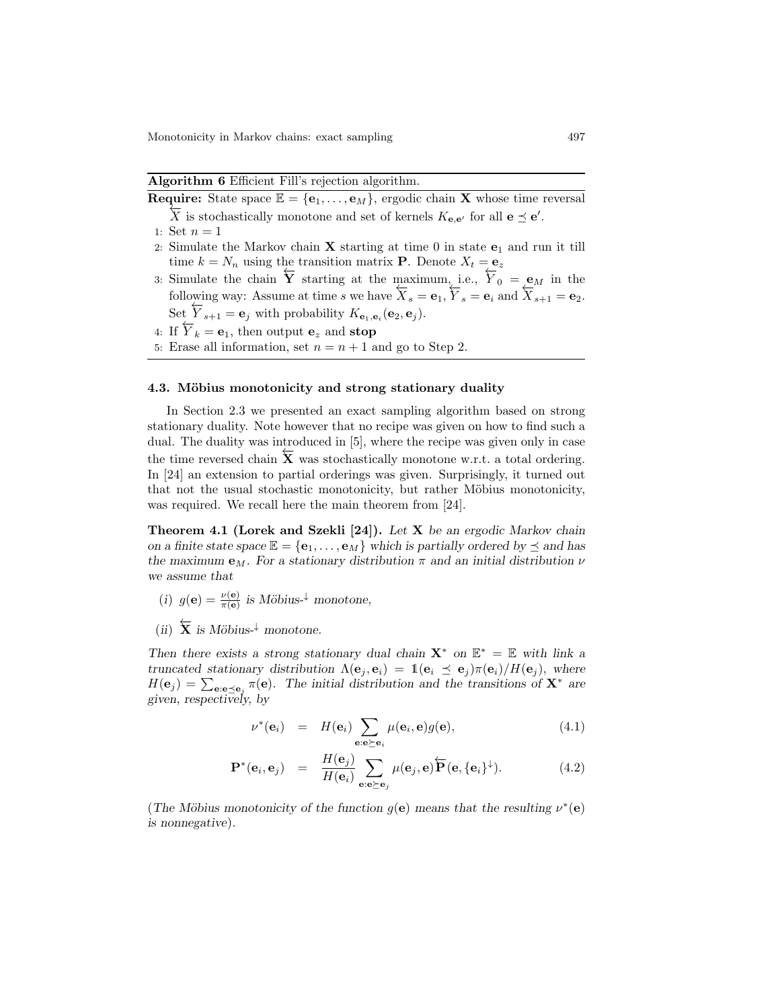Algorithm 6 Efficient Fill's rejection algorithm.

- **Require:** State space  $\mathbb{E} = {\mathbf{e}_1, \dots, \mathbf{e}_M}$ , ergodic chain **X** whose time reversal  $\overleftarrow{X}$  is stochastically monotone and set of kernels  $K_{\mathbf{e},\mathbf{e}'}$  for all  $\mathbf{e} \preceq \mathbf{e}'$ .
- 1: Set  $n = 1$
- 2: Simulate the Markov chain  $X$  starting at time 0 in state  $e_1$  and run it till time  $k = N_n$  using the transition matrix **P**. Denote  $X_t = e_z$
- 3: Simulate the chain  $\overleftarrow{\mathbf{Y}}$  starting at the maximum, i.e.,  $\overleftarrow{Y}_0 = \mathbf{e}_M$  in the following way: Assume at time s we have  $\overleftarrow{X}_s = \mathbf{e}_1, \overleftarrow{Y}_s = \mathbf{e}_i$  and  $\overleftarrow{X}_{s+1} = \mathbf{e}_2$ . Set  $\overleftarrow{Y}_{s+1} = \mathbf{e}_j$  with probability  $K_{\mathbf{e}_1, \mathbf{e}_i}(\mathbf{e}_2, \mathbf{e}_j)$ .
- 4: If  $\overleftarrow{Y}_k = \mathbf{e}_1$ , then output  $\mathbf{e}_z$  and stop
- 5: Erase all information, set  $n = n + 1$  and go to Step 2.

# 4.3. Möbius monotonicity and strong stationary duality

In Section 2.3 we presented an exact sampling algorithm based on strong stationary duality. Note however that no recipe was given on how to find such a dual. The duality was introduced in [5], where the recipe was given only in case the time reversed chain  $\overleftarrow{\mathbf{X}}$  was stochastically monotone w.r.t. a total ordering. In [24] an extension to partial orderings was given. Surprisingly, it turned out that not the usual stochastic monotonicity, but rather Möbius monotonicity, was required. We recall here the main theorem from [24].

Theorem 4.1 (Lorek and Szekli [24]). Let X be an ergodic Markov chain on a finite state space  $\mathbb{E} = {\mathbf{e}_1, \dots, \mathbf{e}_M}$  which is partially ordered by  $\preceq$  and has the maximum  $\mathbf{e}_M$ . For a stationary distribution  $\pi$  and an initial distribution  $\nu$ we assume that

- (i)  $g(\mathbf{e}) = \frac{\nu(\mathbf{e})}{\pi(\mathbf{e})}$  is Möbius-<sup> $\downarrow$ </sup> monotone,
- (ii)  $\overleftarrow{\mathbf{X}}$  is Möbius-<sup>↓</sup> monotone.

Then there exists a strong stationary dual chain  $X^*$  on  $E^* = E$  with link a truncated stationary distribution  $\Lambda(e_i, e_i) = \mathbb{1}(e_i \preceq e_i) \pi(e_i) / H(e_i)$ , where  $H(\mathbf{e}_j) = \sum_{\mathbf{e}_i \in \mathbf{e}_j} \pi(\mathbf{e})$ . The initial distribution and the transitions of  $\mathbf{X}^*$  are given, respectively, by

$$
\nu^*(\mathbf{e}_i) = H(\mathbf{e}_i) \sum_{\mathbf{e}:\mathbf{e}\succeq\mathbf{e}_i} \mu(\mathbf{e}_i, \mathbf{e}) g(\mathbf{e}), \qquad (4.1)
$$

$$
\mathbf{P}^*(\mathbf{e}_i, \mathbf{e}_j) = \frac{H(\mathbf{e}_j)}{H(\mathbf{e}_i)} \sum_{\mathbf{e}: \mathbf{e} \succeq \mathbf{e}_j} \mu(\mathbf{e}_j, \mathbf{e}) \overleftarrow{\mathbf{P}}(\mathbf{e}, \{\mathbf{e}_i\}^{\downarrow}). \tag{4.2}
$$

(The Möbius monotonicity of the function  $g(e)$  means that the resulting  $\nu^*(e)$ is nonnegative).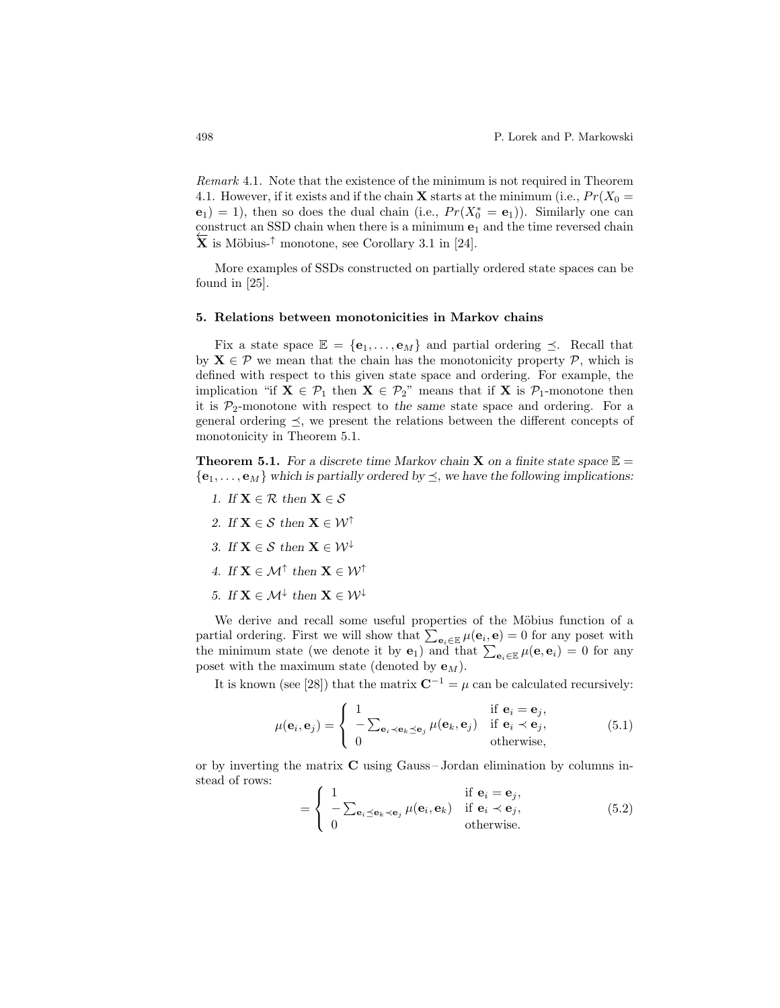Remark 4.1. Note that the existence of the minimum is not required in Theorem 4.1. However, if it exists and if the chain **X** starts at the minimum (i.e.,  $Pr(X_0 =$  $(\mathbf{e}_1) = 1$ , then so does the dual chain (i.e.,  $Pr(X_0^* = \mathbf{e}_1)$ ). Similarly one can construct an SSD chain when there is a minimum  $e_1$  and the time reversed chain  $\overleftarrow{\mathbf{X}}$  is Möbius-<sup>↑</sup> monotone, see Corollary 3.1 in [24].

More examples of SSDs constructed on partially ordered state spaces can be found in [25].

# 5. Relations between monotonicities in Markov chains

Fix a state space  $\mathbb{E} = {\mathbf{e}_1, \dots, \mathbf{e}_M}$  and partial ordering  $\preceq$ . Recall that by  $X \in \mathcal{P}$  we mean that the chain has the monotonicity property  $\mathcal{P}$ , which is defined with respect to this given state space and ordering. For example, the implication "if  $X \in \mathcal{P}_1$  then  $X \in \mathcal{P}_2$ " means that if X is  $\mathcal{P}_1$ -monotone then it is  $\mathcal{P}_2$ -monotone with respect to the same state space and ordering. For a general ordering  $\preceq$ , we present the relations between the different concepts of monotonicity in Theorem 5.1.

**Theorem 5.1.** For a discrete time Markov chain **X** on a finite state space  $\mathbb{E}$  =  $\{e_1, \ldots, e_M\}$  which is partially ordered by  $\preceq$ , we have the following implications:

- 1. If  $X \in \mathcal{R}$  then  $X \in \mathcal{S}$
- 2. If  $X \in \mathcal{S}$  then  $X \in \mathcal{W}^{\uparrow}$
- 3. If  $X \in \mathcal{S}$  then  $X \in \mathcal{W}^{\downarrow}$
- 4. If  $\mathbf{X} \in \mathcal{M}^{\uparrow}$  then  $\mathbf{X} \in \mathcal{W}^{\uparrow}$
- 5. If  $\mathbf{X} \in \mathcal{M}^{\downarrow}$  then  $\mathbf{X} \in \mathcal{W}^{\downarrow}$

We derive and recall some useful properties of the Möbius function of a partial ordering. First we will show that  $\sum_{\mathbf{e}_i \in \mathbb{E}} \mu(\mathbf{e}_i, \mathbf{e}) = 0$  for any poset with the minimum state (we denote it by  $\mathbf{e}_1$ ) and that  $\sum_{\mathbf{e}_i \in \mathbb{E}} \mu(\mathbf{e}, \mathbf{e}_i) = 0$  for any poset with the maximum state (denoted by  $\mathbf{e}_M$ ).

It is known (see [28]) that the matrix  $\mathbf{C}^{-1} = \mu$  can be calculated recursively:

$$
\mu(\mathbf{e}_i, \mathbf{e}_j) = \begin{cases} 1 & \text{if } \mathbf{e}_i = \mathbf{e}_j, \\ -\sum_{\mathbf{e}_i \prec \mathbf{e}_k \preceq \mathbf{e}_j} \mu(\mathbf{e}_k, \mathbf{e}_j) & \text{if } \mathbf{e}_i \prec \mathbf{e}_j, \\ 0 & \text{otherwise,} \end{cases}
$$
(5.1)

or by inverting the matrix  $C$  using Gauss-Jordan elimination by columns instead of rows:

$$
= \begin{cases} 1 & \text{if } \mathbf{e}_i = \mathbf{e}_j, \\ -\sum_{\mathbf{e}_i \preceq \mathbf{e}_k \prec \mathbf{e}_j} \mu(\mathbf{e}_i, \mathbf{e}_k) & \text{if } \mathbf{e}_i \prec \mathbf{e}_j, \\ 0 & \text{otherwise.} \end{cases}
$$
(5.2)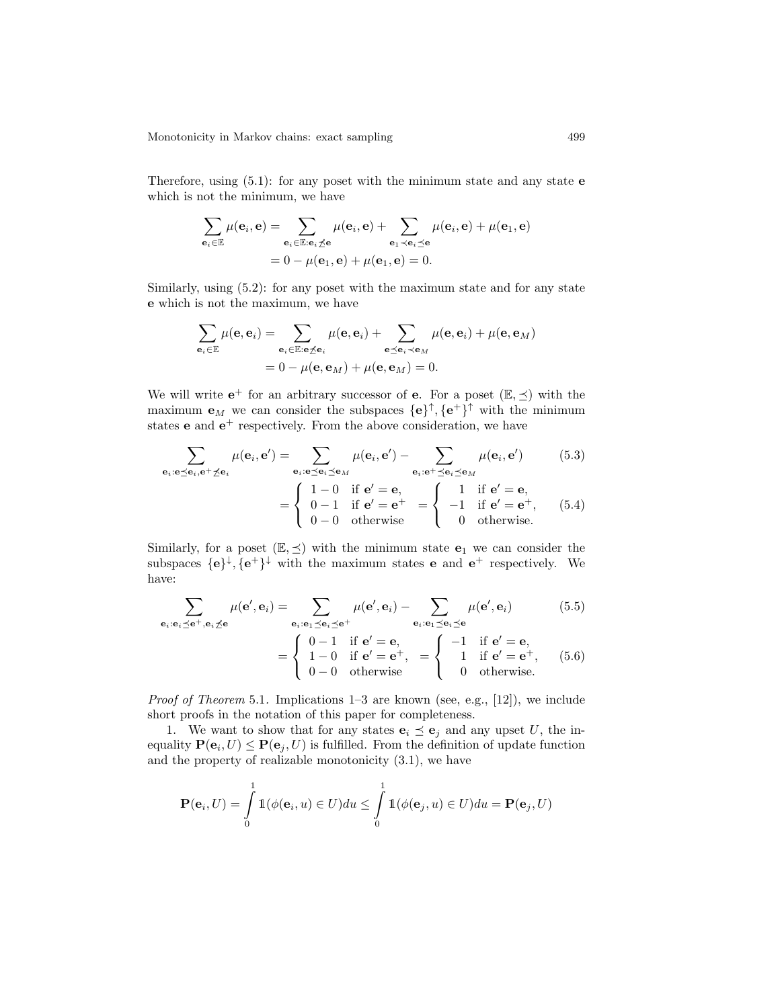Therefore, using  $(5.1)$ : for any poset with the minimum state and any state  $e$ which is not the minimum, we have

$$
\sum_{\mathbf{e}_i \in \mathbb{E}} \mu(\mathbf{e}_i, \mathbf{e}) = \sum_{\mathbf{e}_i \in \mathbb{E}: \mathbf{e}_i \nleq \mathbf{e}} \mu(\mathbf{e}_i, \mathbf{e}) + \sum_{\mathbf{e}_1 \prec \mathbf{e}_i \preceq \mathbf{e}} \mu(\mathbf{e}_i, \mathbf{e}) + \mu(\mathbf{e}_1, \mathbf{e})
$$
  
=  $0 - \mu(\mathbf{e}_1, \mathbf{e}) + \mu(\mathbf{e}_1, \mathbf{e}) = 0.$ 

Similarly, using (5.2): for any poset with the maximum state and for any state e which is not the maximum, we have

$$
\sum_{\mathbf{e}_i \in \mathbb{E}} \mu(\mathbf{e}, \mathbf{e}_i) = \sum_{\mathbf{e}_i \in \mathbb{E}: \mathbf{e} \preceq \mathbf{e}_i} \mu(\mathbf{e}, \mathbf{e}_i) + \sum_{\mathbf{e} \preceq \mathbf{e}_i \prec \mathbf{e}_M} \mu(\mathbf{e}, \mathbf{e}_i) + \mu(\mathbf{e}, \mathbf{e}_M)
$$
  
=  $0 - \mu(\mathbf{e}, \mathbf{e}_M) + \mu(\mathbf{e}, \mathbf{e}_M) = 0.$ 

We will write  $e^+$  for an arbitrary successor of **e**. For a poset  $(\mathbb{E}, \preceq)$  with the maximum  $\mathbf{e}_M$  we can consider the subspaces  $\{\mathbf{e}\}^{\uparrow}, \{\mathbf{e}^+\}^{\uparrow}$  with the minimum states **e** and  $e^+$  respectively. From the above consideration, we have

$$
\sum_{\mathbf{e}_i:\mathbf{e}\preceq\mathbf{e}_i,\mathbf{e}^+\preceq\mathbf{e}_i} \mu(\mathbf{e}_i,\mathbf{e}') = \sum_{\mathbf{e}_i:\mathbf{e}\preceq\mathbf{e}_i\preceq\mathbf{e}_M} \mu(\mathbf{e}_i,\mathbf{e}') - \sum_{\mathbf{e}_i:\mathbf{e}^+\preceq\mathbf{e}_i\preceq\mathbf{e}_M} \mu(\mathbf{e}_i,\mathbf{e}')
$$
(5.3)  

$$
= \begin{cases} 1-0 & \text{if } \mathbf{e}' = \mathbf{e}, \\ 0-1 & \text{if } \mathbf{e}' = \mathbf{e}^+ \\ 0-0 & \text{otherwise} \end{cases} = \begin{cases} 1 & \text{if } \mathbf{e}' = \mathbf{e}, \\ -1 & \text{if } \mathbf{e}' = \mathbf{e}^+, \\ 0 & \text{otherwise}. \end{cases}
$$
(5.4)

Similarly, for a poset  $(\mathbb{E}, \preceq)$  with the minimum state  $e_1$  we can consider the subspaces  $\{e\}^{\downarrow}, \{e^+\}^{\downarrow}$  with the maximum states **e** and  $e^+$  respectively. We have:

$$
\sum_{\mathbf{e}_i:\mathbf{e}_i\preceq\mathbf{e}^+,\mathbf{e}_i\preceq\mathbf{e}}\mu(\mathbf{e}',\mathbf{e}_i) = \sum_{\mathbf{e}_i:\mathbf{e}_1\preceq\mathbf{e}_i\preceq\mathbf{e}^+}\mu(\mathbf{e}',\mathbf{e}_i) - \sum_{\mathbf{e}_i:\mathbf{e}_1\preceq\mathbf{e}_i\preceq\mathbf{e}}\mu(\mathbf{e}',\mathbf{e}_i) \tag{5.5}
$$
\n
$$
= \begin{cases}\n0-1 & \text{if } \mathbf{e}' = \mathbf{e}, \\
1-0 & \text{if } \mathbf{e}' = \mathbf{e}^+, \\
0-0 & \text{otherwise}\n\end{cases} = \begin{cases}\n-1 & \text{if } \mathbf{e}' = \mathbf{e}, \\
1 & \text{if } \mathbf{e}' = \mathbf{e}^+, \\
0 & \text{otherwise.}\n\end{cases}
$$
\n(5.5)

Proof of Theorem 5.1. Implications 1–3 are known (see, e.g., [12]), we include short proofs in the notation of this paper for completeness.

1. We want to show that for any states  $\mathbf{e}_i \preceq \mathbf{e}_j$  and any upset U, the inequality  $P(e_i, U) \le P(e_j, U)$  is fulfilled. From the definition of update function and the property of realizable monotonicity (3.1), we have

$$
\mathbf{P}(\mathbf{e}_i, U) = \int_{0}^{1} \mathbb{1}(\phi(\mathbf{e}_i, u) \in U) du \le \int_{0}^{1} \mathbb{1}(\phi(\mathbf{e}_j, u) \in U) du = \mathbf{P}(\mathbf{e}_j, U)
$$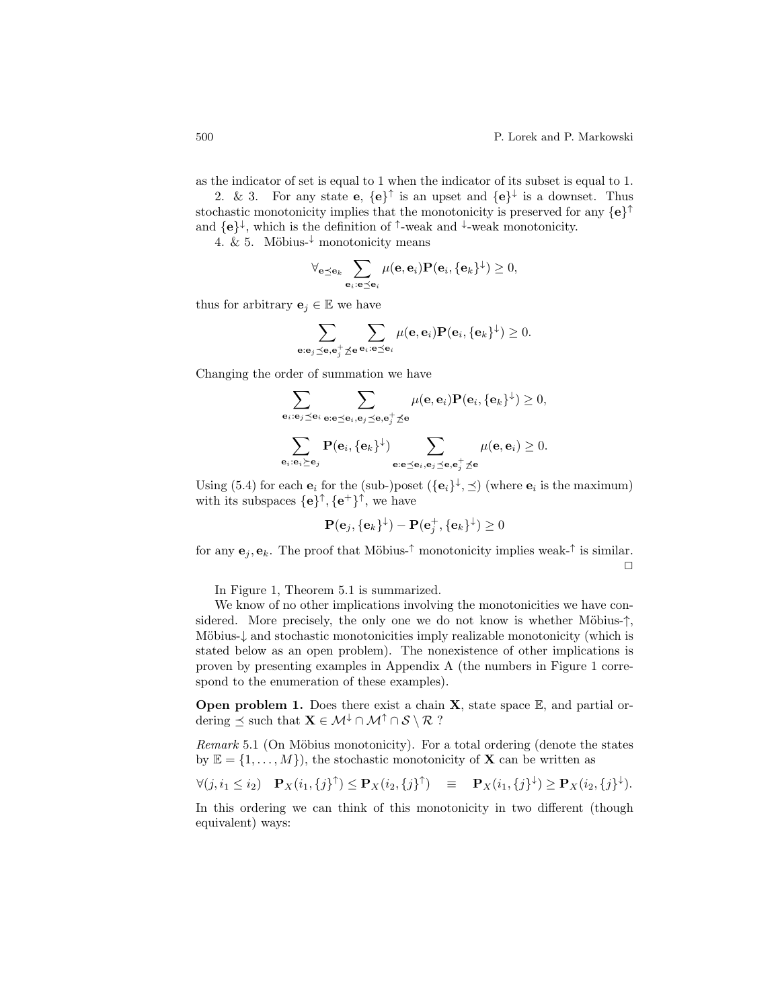as the indicator of set is equal to 1 when the indicator of its subset is equal to 1.

2. & 3. For any state **e**,  $\{e\}^{\uparrow}$  is an upset and  $\{e\}^{\downarrow}$  is a downset. Thus stochastic monotonicity implies that the monotonicity is preserved for any  $\{e\}^{\uparrow}$ and  $\{e\}^{\downarrow}$ , which is the definition of  $\uparrow$ -weak and  $\downarrow$ -weak monotonicity.

4. & 5. Möbius- $\frac{1}{x}$  monotonicity means

$$
\forall_{\mathbf{e}\preceq\mathbf{e}_k}\sum_{\mathbf{e}_i:\mathbf{e}\preceq\mathbf{e}_i}\mu(\mathbf{e},\mathbf{e}_i)\mathbf{P}(\mathbf{e}_i,\{\mathbf{e}_k\}^\downarrow)\geq 0,
$$

thus for arbitrary  $\mathbf{e}_j \in \mathbb{E}$  we have

$$
\sum_{\mathbf{e}: \mathbf{e}_j \preceq \mathbf{e}, \mathbf{e}_j^+ \preceq \mathbf{e}} \sum_{\mathbf{e}_i: \mathbf{e} \preceq \mathbf{e}_i} \mu(\mathbf{e}, \mathbf{e}_i) \mathbf{P}(\mathbf{e}_i, \{\mathbf{e}_k\}^{\downarrow}) \geq 0.
$$

Changing the order of summation we have

$$
\sum_{\mathbf{e}_i:\mathbf{e}_j\preceq\mathbf{e}_i}\sum_{\mathbf{e}_i:\mathbf{e}_j\preceq\mathbf{e}_i,\mathbf{e}_j\preceq\mathbf{e},\mathbf{e}_j^+\preceq\mathbf{e}}\mu(\mathbf{e},\mathbf{e}_i)\mathbf{P}(\mathbf{e}_i,\{\mathbf{e}_k\}^{\downarrow})\geq 0,
$$
  

$$
\sum_{\mathbf{e}_i:\mathbf{e}_i\succeq\mathbf{e}_j}\mathbf{P}(\mathbf{e}_i,\{\mathbf{e}_k\}^{\downarrow})\sum_{\mathbf{e}:\mathbf{e}\preceq\mathbf{e}_i,\mathbf{e}_j\preceq\mathbf{e},\mathbf{e}_j^+\preceq\mathbf{e}}\mu(\mathbf{e},\mathbf{e}_i)\geq 0.
$$

Using (5.4) for each  $\mathbf{e}_i$  for the (sub-)poset  $({\{\mathbf{e}_i\}}^{\downarrow}, \preceq)$  (where  $\mathbf{e}_i$  is the maximum) with its subspaces  $\{\mathbf{e}\}^{\uparrow}$ ,  $\{\mathbf{e}^+\}^{\uparrow}$ , we have

$$
\mathbf{P}(\mathbf{e}_j, \{\mathbf{e}_k\}^{\downarrow}) - \mathbf{P}(\mathbf{e}_j^+, \{\mathbf{e}_k\}^{\downarrow}) \ge 0
$$

for any  $e_j, e_k$ . The proof that Möbius-<sup> $\uparrow$ </sup> monotonicity implies weak- $\uparrow$  is similar.  $\Box$ 

In Figure 1, Theorem 5.1 is summarized.

We know of no other implications involving the monotonicities we have considered. More precisely, the only one we do not know is whether Möbius- $\dagger$ , Möbius- $\downarrow$  and stochastic monotonicities imply realizable monotonicity (which is stated below as an open problem). The nonexistence of other implications is proven by presenting examples in Appendix A (the numbers in Figure 1 correspond to the enumeration of these examples).

**Open problem 1.** Does there exist a chain  $X$ , state space  $E$ , and partial ordering  $\leq$  such that  $\mathbf{X} \in \mathcal{M}^{\downarrow} \cap \mathcal{M}^{\uparrow} \cap \mathcal{S} \setminus \mathcal{R}$ ?

 $Remark 5.1$  (On Möbius monotonicity). For a total ordering (denote the states by  $\mathbb{E} = \{1, \ldots, M\}$ , the stochastic monotonicity of **X** can be written as

$$
\forall (j, i_1 \leq i_2) \quad \mathbf{P}_X(i_1, \{j\}^{\uparrow}) \leq \mathbf{P}_X(i_2, \{j\}^{\uparrow}) \quad \equiv \quad \mathbf{P}_X(i_1, \{j\}^{\downarrow}) \geq \mathbf{P}_X(i_2, \{j\}^{\downarrow}).
$$

In this ordering we can think of this monotonicity in two different (though equivalent) ways: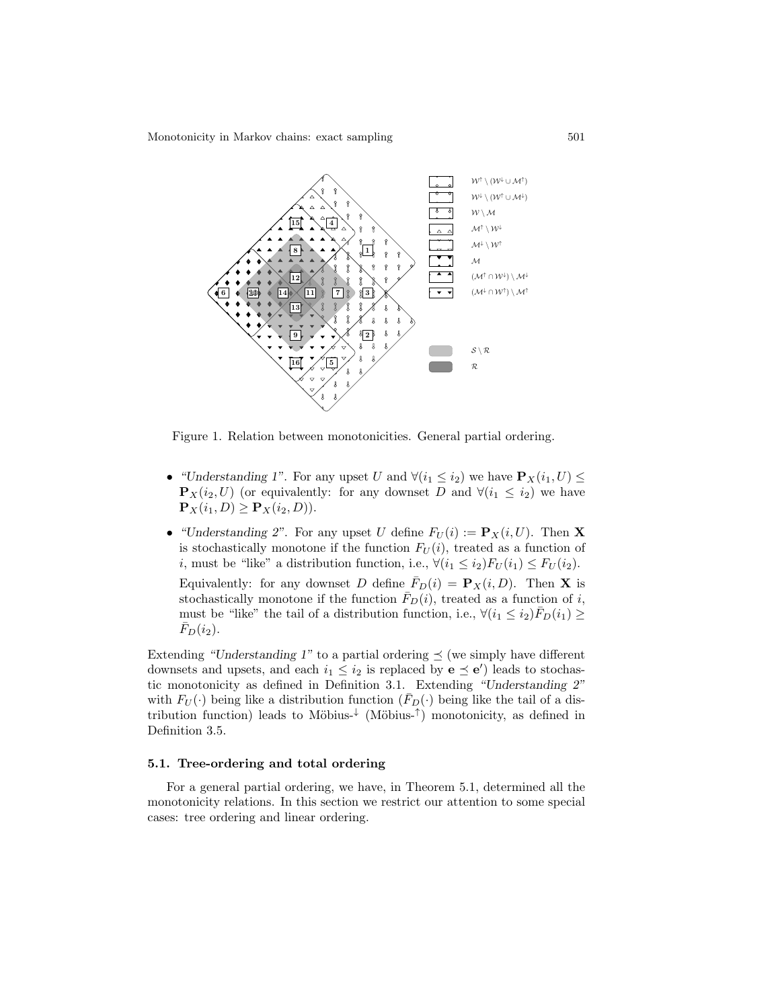

Figure 1. Relation between monotonicities. General partial ordering.

- "Understanding 1". For any upset U and  $\forall (i_1 \leq i_2)$  we have  $\mathbf{P}_X(i_1, U) \leq$  $\mathbf{P}_X(i_2, U)$  (or equivalently: for any downset D and  $\forall (i_1 \leq i_2)$  we have  ${\bf P}_X(i_1, D) \ge {\bf P}_X(i_2, D)$ .
- "Understanding 2". For any upset U define  $F_U(i) := \mathbf{P}_X(i, U)$ . Then **X** is stochastically monotone if the function  $F_U(i)$ , treated as a function of i, must be "like" a distribution function, i.e.,  $\forall (i_1 \leq i_2) F_U(i_1) \leq F_U(i_2)$ .

Equivalently: for any downset D define  $\bar{F}_D(i) = \mathbf{P}_X(i, D)$ . Then **X** is stochastically monotone if the function  $\bar{F}_D(i)$ , treated as a function of i, must be "like" the tail of a distribution function, i.e.,  $\forall (i_1 \leq i_2) F_D(i_1) \geq$  $\bar{F}_D(i_2)$ .

Extending "Understanding 1" to a partial ordering  $\prec$  (we simply have different downsets and upsets, and each  $i_1 \leq i_2$  is replaced by  $\mathbf{e} \preceq \mathbf{e}'$ ) leads to stochastic monotonicity as defined in Definition 3.1. Extending "Understanding 2" with  $F_U(\cdot)$  being like a distribution function  $(\bar{F}_D(\cdot))$  being like the tail of a distribution function) leads to Möbius- $\downarrow$  (Möbius- $\uparrow$ ) monotonicity, as defined in Definition 3.5.

# 5.1. Tree-ordering and total ordering

For a general partial ordering, we have, in Theorem 5.1, determined all the monotonicity relations. In this section we restrict our attention to some special cases: tree ordering and linear ordering.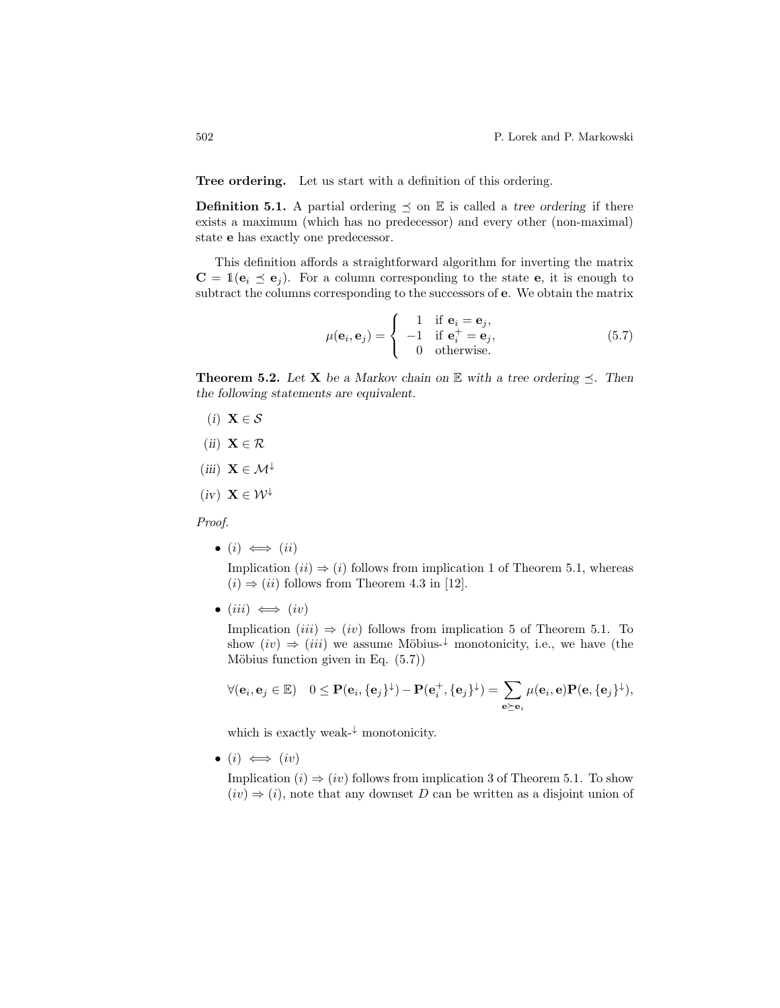Tree ordering. Let us start with a definition of this ordering.

**Definition 5.1.** A partial ordering  $\leq$  on E is called a tree ordering if there exists a maximum (which has no predecessor) and every other (non-maximal) state e has exactly one predecessor.

This definition affords a straightforward algorithm for inverting the matrix  $C = \mathbb{1}(\mathbf{e}_i \preceq \mathbf{e}_i)$ . For a column corresponding to the state e, it is enough to subtract the columns corresponding to the successors of e. We obtain the matrix

$$
\mu(\mathbf{e}_i, \mathbf{e}_j) = \begin{cases}\n1 & \text{if } \mathbf{e}_i = \mathbf{e}_j, \\
-1 & \text{if } \mathbf{e}_i^+ = \mathbf{e}_j, \\
0 & \text{otherwise.} \n\end{cases}
$$
\n(5.7)

**Theorem 5.2.** Let **X** be a Markov chain on  $\mathbb{E}$  with a tree ordering  $\preceq$ . Then the following statements are equivalent.

- (i)  $\mathbf{X} \in \mathcal{S}$
- (ii)  $X \in \mathcal{R}$
- (iii)  $\mathbf{X} \in \mathcal{M}^{\downarrow}$
- $(iv) \mathbf{X} \in \mathcal{W}^{\downarrow}$

Proof.

• (i)  $\iff$  (ii)

Implication (ii)  $\Rightarrow$  (i) follows from implication 1 of Theorem 5.1, whereas  $(i) \Rightarrow (ii)$  follows from Theorem 4.3 in [12].

 $\bullet$  (iii)  $\iff$  (iv)

Implication (iii)  $\Rightarrow$  (iv) follows from implication 5 of Theorem 5.1. To show  $(iv) \Rightarrow (iii)$  we assume Möbius- $\overline{\phantom{a}}$  monotonicity, i.e., we have (the Möbius function given in Eq.  $(5.7)$ 

$$
\forall (\mathbf{e}_i, \mathbf{e}_j \in \mathbb{E}) \quad 0 \leq \mathbf{P}(\mathbf{e}_i, \{\mathbf{e}_j\}^{\downarrow}) - \mathbf{P}(\mathbf{e}_i^+, \{\mathbf{e}_j\}^{\downarrow}) = \sum_{\mathbf{e} \succeq \mathbf{e}_i} \mu(\mathbf{e}_i, \mathbf{e}) \mathbf{P}(\mathbf{e}, \{\mathbf{e}_j\}^{\downarrow}),
$$

which is exactly weak- $\frac{1}{2}$  monotonicity.

• (i)  $\iff$  (iv)

Implication (i)  $\Rightarrow$  (iv) follows from implication 3 of Theorem 5.1. To show  $(iv) \Rightarrow (i)$ , note that any downset D can be written as a disjoint union of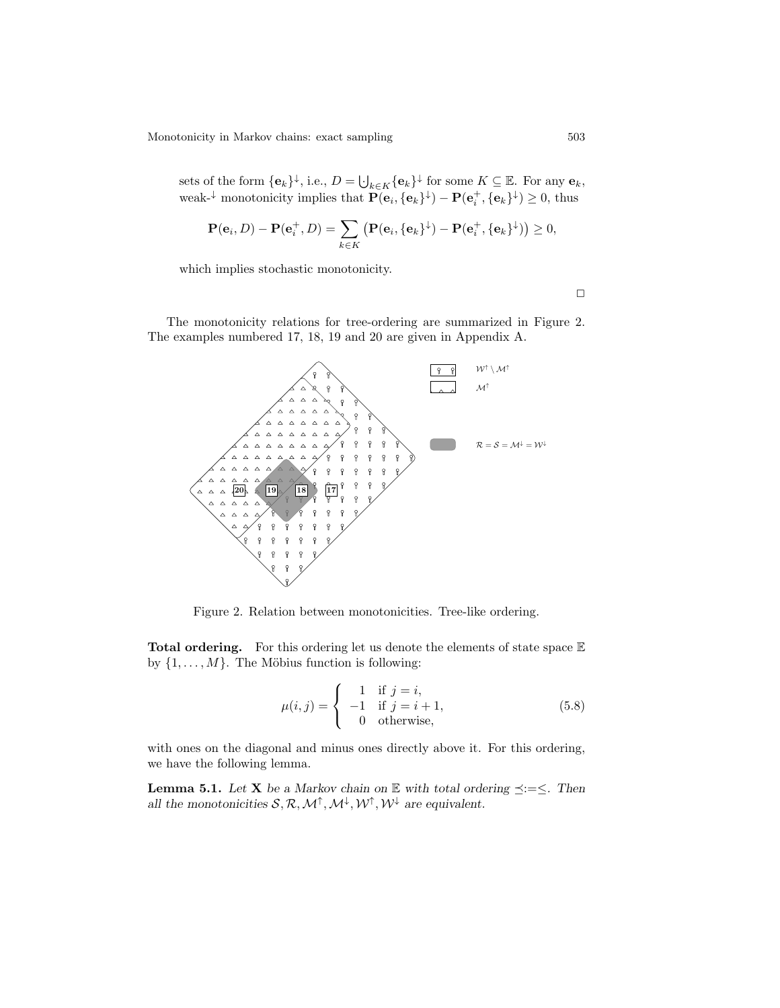sets of the form  $\{e_k\}^{\downarrow}$ , i.e.,  $D = \bigcup_{k \in K} \{e_k\}^{\downarrow}$  for some  $K \subseteq \mathbb{E}$ . For any  $e_k$ , weak-<sup> $\downarrow$ </sup> monotonicity implies that  $\mathbf{P}(\mathbf{e}_i, {\{\mathbf{e}_k\}}^\downarrow) - \mathbf{P}(\mathbf{e}_i^+, {\{\mathbf{e}_k\}}^\downarrow) \geq 0$ , thus

$$
\mathbf{P}(\mathbf{e}_i, D) - \mathbf{P}(\mathbf{e}_i^+, D) = \sum_{k \in K} \left( \mathbf{P}(\mathbf{e}_i, \{\mathbf{e}_k\}^{\downarrow}) - \mathbf{P}(\mathbf{e}_i^+, \{\mathbf{e}_k\}^{\downarrow}) \right) \ge 0,
$$

which implies stochastic monotonicity.

 $\Box$ 

The monotonicity relations for tree-ordering are summarized in Figure 2. The examples numbered 17, 18, 19 and 20 are given in Appendix A.



Figure 2. Relation between monotonicities. Tree-like ordering.

**Total ordering.** For this ordering let us denote the elements of state space  $E$ by  $\{1, \ldots, M\}$ . The Möbius function is following:

$$
\mu(i,j) = \begin{cases}\n1 & \text{if } j = i, \\
-1 & \text{if } j = i + 1, \\
0 & \text{otherwise,} \n\end{cases}
$$
\n(5.8)

with ones on the diagonal and minus ones directly above it. For this ordering, we have the following lemma.

**Lemma 5.1.** Let **X** be a Markov chain on  $E$  with total ordering  $\preceq := \leq$ . Then all the monotonicities  $S, R, M^{\uparrow}, M^{\downarrow}, W^{\uparrow}, W^{\downarrow}$  are equivalent.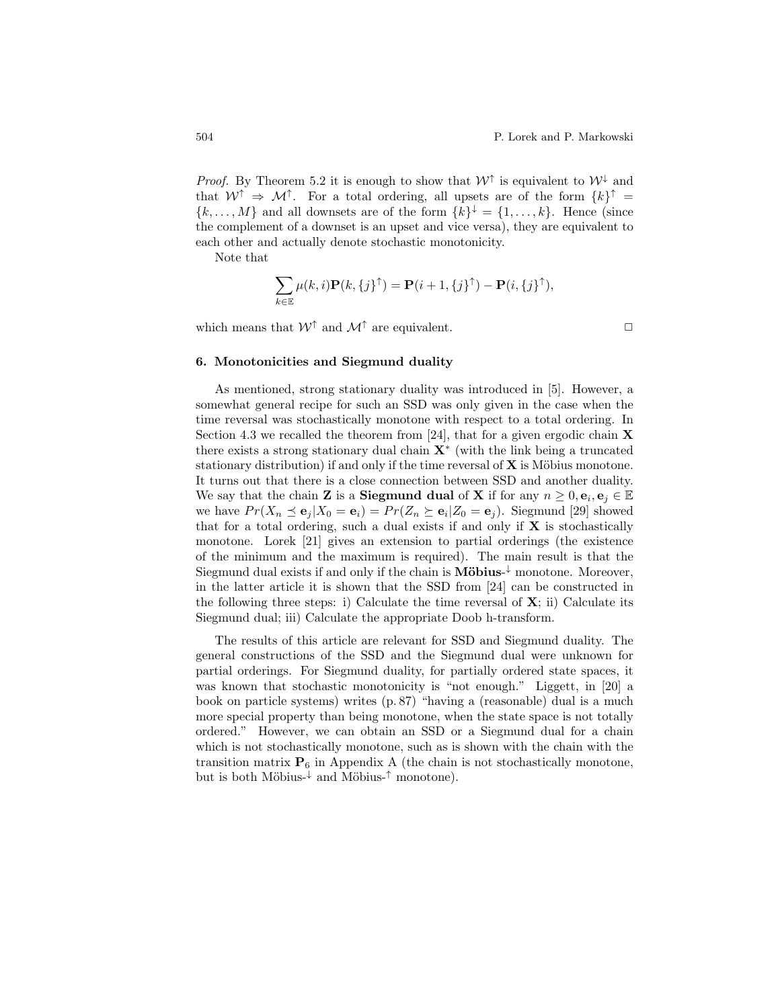*Proof.* By Theorem 5.2 it is enough to show that  $W^{\uparrow}$  is equivalent to  $W^{\downarrow}$  and that  $W^{\uparrow} \Rightarrow M^{\uparrow}$ . For a total ordering, all upsets are of the form  $\{k\}^{\uparrow} =$  $\{k, \ldots, M\}$  and all downsets are of the form  $\{k\}^{\downarrow} = \{1, \ldots, k\}$ . Hence (since the complement of a downset is an upset and vice versa), they are equivalent to each other and actually denote stochastic monotonicity.

Note that

$$
\sum_{k \in \mathbb{E}} \mu(k, i) \mathbf{P}(k, \{j\}^{\uparrow}) = \mathbf{P}(i+1, \{j\}^{\uparrow}) - \mathbf{P}(i, \{j\}^{\uparrow}),
$$

which means that  $W^{\uparrow}$  and  $M^{\uparrow}$  are equivalent.

## 6. Monotonicities and Siegmund duality

As mentioned, strong stationary duality was introduced in [5]. However, a somewhat general recipe for such an SSD was only given in the case when the time reversal was stochastically monotone with respect to a total ordering. In Section 4.3 we recalled the theorem from [24], that for a given ergodic chain  $X$ there exists a strong stationary dual chain  $X^*$  (with the link being a truncated stationary distribution) if and only if the time reversal of  $X$  is Möbius monotone. It turns out that there is a close connection between SSD and another duality. We say that the chain **Z** is a **Siegmund dual** of **X** if for any  $n \geq 0, e_i, e_j \in \mathbb{E}$ we have  $Pr(X_n \leq \mathbf{e}_j | X_0 = \mathbf{e}_i) = Pr(Z_n \geq \mathbf{e}_i | Z_0 = \mathbf{e}_j)$ . Siegmund [29] showed that for a total ordering, such a dual exists if and only if  $X$  is stochastically monotone. Lorek [21] gives an extension to partial orderings (the existence of the minimum and the maximum is required). The main result is that the Siegmund dual exists if and only if the chain is  $M\ddot{\text{o}}bius^{-\downarrow}$  monotone. Moreover, in the latter article it is shown that the SSD from [24] can be constructed in the following three steps: i) Calculate the time reversal of  $X$ ; ii) Calculate its Siegmund dual; iii) Calculate the appropriate Doob h-transform.

The results of this article are relevant for SSD and Siegmund duality. The general constructions of the SSD and the Siegmund dual were unknown for partial orderings. For Siegmund duality, for partially ordered state spaces, it was known that stochastic monotonicity is "not enough." Liggett, in [20] a book on particle systems) writes (p. 87) "having a (reasonable) dual is a much more special property than being monotone, when the state space is not totally ordered." However, we can obtain an SSD or a Siegmund dual for a chain which is not stochastically monotone, such as is shown with the chain with the transition matrix  $P_6$  in Appendix A (the chain is not stochastically monotone, but is both Möbius- $\downarrow$  and Möbius- $\uparrow$  monotone).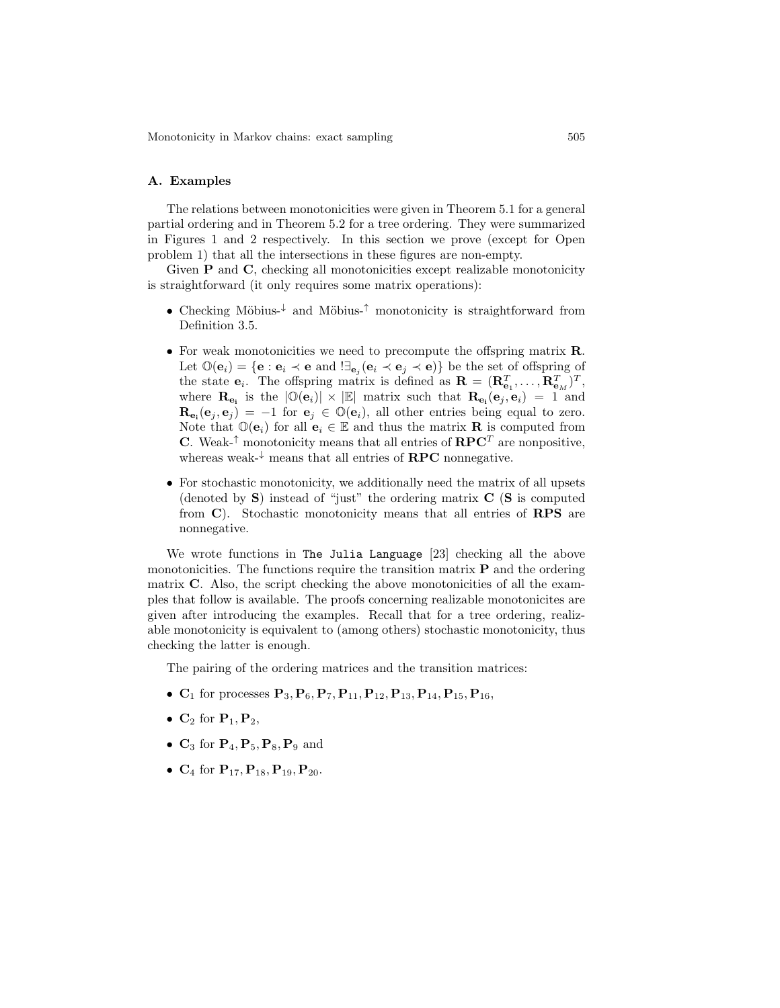# A. Examples

The relations between monotonicities were given in Theorem 5.1 for a general partial ordering and in Theorem 5.2 for a tree ordering. They were summarized in Figures 1 and 2 respectively. In this section we prove (except for Open problem 1) that all the intersections in these figures are non-empty.

Given **P** and **C**, checking all monotonicities except realizable monotonicity is straightforward (it only requires some matrix operations):

- Checking Möbius- $\downarrow$  and Möbius- $\uparrow$  monotonicity is straightforward from Definition 3.5.
- For weak monotonicities we need to precompute the offspring matrix **R**. Let  $\mathbb{O}(\mathbf{e}_i) = \{\mathbf{e} : \mathbf{e}_i \prec \mathbf{e} \text{ and } \exists_{\mathbf{e}_j} (\mathbf{e}_i \prec \mathbf{e}_j \prec \mathbf{e})\}$  be the set of offspring of the state  $\mathbf{e}_i$ . The offspring matrix is defined as  $\mathbf{R} = (\mathbf{R}_{\mathbf{e}_1}^T, \dots, \mathbf{R}_{\mathbf{e}_M}^T)^T$ , where  $\mathbf{R}_{\mathbf{e}_i}$  is the  $|\mathbb{O}(\mathbf{e}_i)| \times |\mathbb{E}|$  matrix such that  $\mathbf{R}_{\mathbf{e}_i}(\mathbf{e}_j, \mathbf{e}_i) = 1$  and  $\mathbf{R}_{\mathbf{e}_i}(\mathbf{e}_j, \mathbf{e}_j) = -1$  for  $\mathbf{e}_j \in \mathbb{O}(\mathbf{e}_i)$ , all other entries being equal to zero. Note that  $\mathbb{O}(\mathbf{e}_i)$  for all  $\mathbf{e}_i \in \mathbb{E}$  and thus the matrix **R** is computed from **C.** Weak-<sup>↑</sup> monotonicity means that all entries of  $\mathbf{RPC}^T$  are nonpositive, whereas weak- $\downarrow$  means that all entries of **RPC** nonnegative.
- For stochastic monotonicity, we additionally need the matrix of all upsets (denoted by  $S$ ) instead of "just" the ordering matrix  $C(S)$  is computed from  $\bf{C}$ ). Stochastic monotonicity means that all entries of  $RPS$  are nonnegative.

We wrote functions in The Julia Language [23] checking all the above monotonicities. The functions require the transition matrix  $P$  and the ordering matrix C. Also, the script checking the above monotonicities of all the examples that follow is available. The proofs concerning realizable monotonicites are given after introducing the examples. Recall that for a tree ordering, realizable monotonicity is equivalent to (among others) stochastic monotonicity, thus checking the latter is enough.

The pairing of the ordering matrices and the transition matrices:

- $C_1$  for processes  $P_3, P_6, P_7, P_{11}, P_{12}, P_{13}, P_{14}, P_{15}, P_{16}$
- $C_2$  for  $P_1, P_2$ ,
- $C_3$  for  $P_4$ ,  $P_5$ ,  $P_8$ ,  $P_9$  and
- $C_4$  for  $P_{17}$ ,  $P_{18}$ ,  $P_{19}$ ,  $P_{20}$ .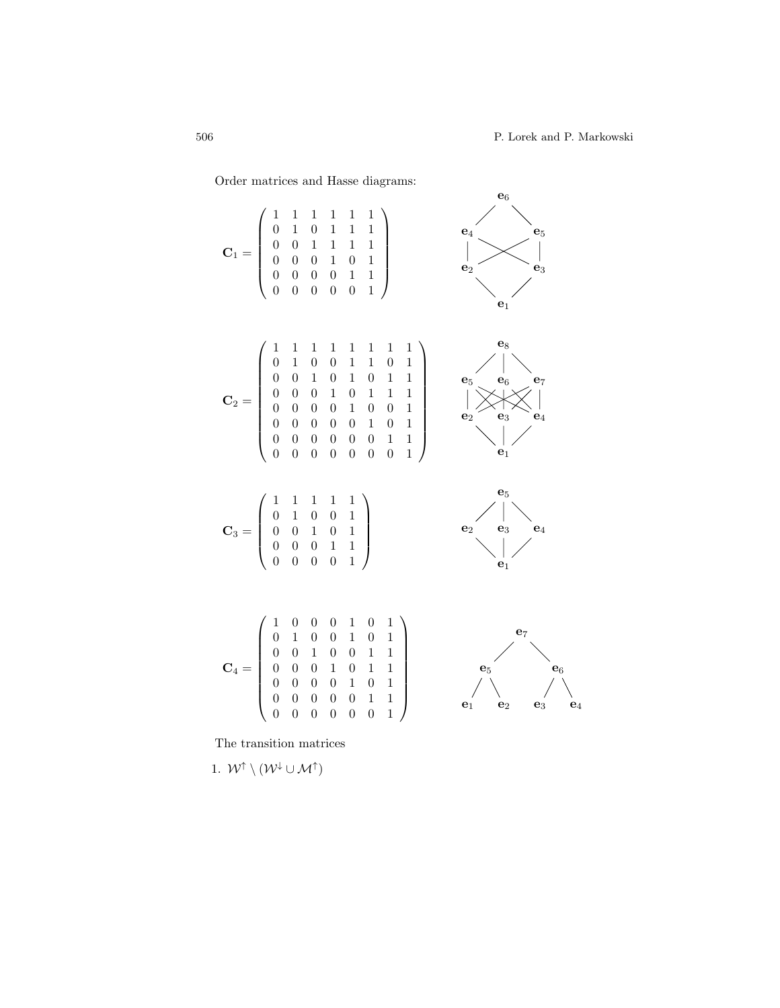Order matrices and Hasse diagrams:

$$
C_1 = \begin{pmatrix} 1 & 1 & 1 & 1 & 1 & 1 \\ 0 & 1 & 0 & 1 & 1 & 1 & 1 \\ 0 & 0 & 1 & 1 & 0 & 1 & 1 \\ 0 & 0 & 0 & 0 & 1 & 1 & 1 \\ 0 & 0 & 0 & 0 & 0 & 1 & 1 \\ 0 & 0 & 0 & 0 & 0 & 1 & 1 \\ 0 & 0 & 1 & 0 & 1 & 1 & 1 & 1 \\ 0 & 0 & 0 & 1 & 0 & 1 & 1 & 1 \\ 0 & 0 & 0 & 0 & 1 & 0 & 1 & 1 \\ 0 & 0 & 0 & 0 & 1 & 0 & 1 & 1 \\ 0 & 0 & 0 & 0 & 0 & 0 & 1 & 1 \\ 0 & 0 & 0 & 0 & 0 & 0 & 1 & 1 \\ 0 & 0 & 0 & 0 & 0 & 0 & 1 & 1 \\ 0 & 0 & 0 & 0 & 0 & 0 & 1 & 1 \\ 0 & 0 & 0 & 0 & 1 & 1 & 1 & 1 \\ 0 & 0 & 0 & 0 & 1 & 1 & 1 & 1 \\ 0 & 0 & 0 & 0 & 1 & 1 & 1 & 1 \\ 0 & 0 & 0 & 0 & 1 & 1 & 1 & 1 \\ 0 & 0 & 0 & 0 & 1 & 0 & 1 & 1 \\ 0 & 0 & 0 & 0 & 1 & 0 & 1 & 1 \\ 0 & 0 & 0 & 0 & 1 & 0 & 1 & 1 \\ 0 & 0 & 0 & 0 & 0 & 1 & 1 & 1 & 1 \\ 0 & 0 & 0 & 0 & 0 & 1 & 1 & 1 & 1 \\ 0 & 0 & 0 & 0 & 0 & 1 & 1 & 1 & 1 \\ 0 & 0 & 0 & 0 & 0 & 1 & 1 & 1 & 1 \\ 0 & 0 & 0 & 0 & 0 & 1 & 1 & 1 & 1 \\ 0 & 0 & 0 & 0 & 0 & 0 & 1 & 1 & 1 \\ 0 & 0 & 0 & 0 & 0 & 0 & 1 & 1 & 1 & 1 \\ 0 & 0 & 0 & 0 & 0 & 0 & 1 & 1 & 1 & 1 \\ 0 & 0 & 0 & 0 & 0 & 0 & 1 & 1 & 1 & 1 \\ 0 & 0 & 0 & 0 & 0
$$

The transition matrices

1.  $W^{\uparrow} \setminus (W^{\downarrow} \cup \mathcal{M}^{\uparrow})$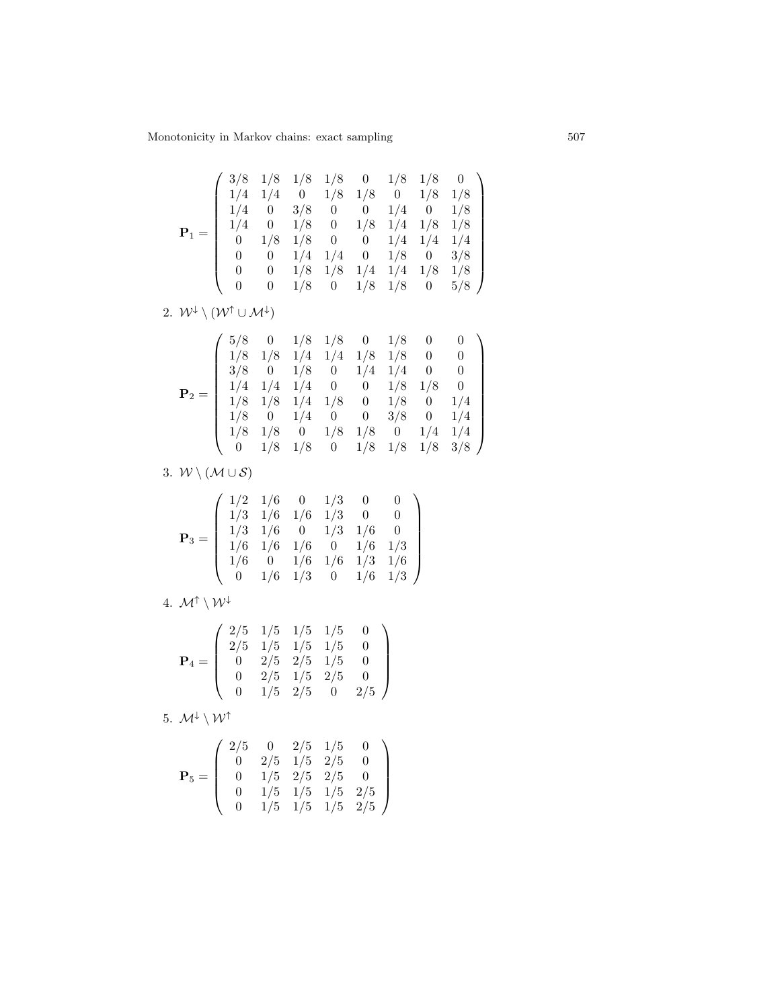$$
\mathbf{P}_1 = \left(\begin{array}{ccccccc} 3/8 & 1/8 & 1/8 & 1/8 & 0 & 1/8 & 1/8 & 0 \\ 1/4 & 1/4 & 0 & 1/8 & 1/8 & 0 & 1/8 & 1/8 \\ 1/4 & 0 & 3/8 & 0 & 0 & 1/4 & 0 & 1/8 \\ 1/4 & 0 & 1/8 & 0 & 1/8 & 1/4 & 1/8 & 1/8 \\ 0 & 1/8 & 1/8 & 0 & 0 & 1/4 & 1/4 & 1/4 \\ 0 & 0 & 1/4 & 1/4 & 0 & 1/8 & 0 & 3/8 \\ 0 & 0 & 1/8 & 1/8 & 1/4 & 1/4 & 1/8 & 1/8 \\ 0 & 0 & 1/8 & 0 & 1/8 & 1/8 & 0 & 5/8 \end{array}\right)
$$

2.  $W^{\downarrow} \setminus (W^{\uparrow} \cup M^{\downarrow})$ 

|         | 5/8      | $\overline{0}$                    |                                 |           | $1/8$ $1/8$ 0 $1/8$ 0 |     |                             |  |
|---------|----------|-----------------------------------|---------------------------------|-----------|-----------------------|-----|-----------------------------|--|
|         | 1/8      |                                   | $1/8$ $1/4$ $1/4$ $1/8$ $1/8$ 0 |           |                       |     | $\theta$                    |  |
|         | 3/8      | $\theta$                          | $1/8$ 0 $1/4$ $1/4$ 0           |           |                       |     | $\hspace{0.1em} 0$          |  |
|         | 1/4      | 1/4                               | $1/4$ 0 0                       |           | $1/8$ $1/8$ 0         |     |                             |  |
| $P_2 =$ |          | $1/8$ $1/8$ $1/4$ $1/8$ 0 $1/8$ 0 |                                 |           |                       |     | 1/4                         |  |
|         | 1/8      | $\overline{0}$                    |                                 | $1/4$ 0 0 | $3/8$ 0               |     | 1/4                         |  |
|         | 1/8      | 1/8                               |                                 | $0 \t1/8$ | $1/8$ 0               | 1/4 | 1/4                         |  |
|         | $\theta$ | 1/8                               | 1/8                             |           |                       |     | $0 \t1/8 \t1/8 \t1/8 \t3/8$ |  |

3.  $W \setminus (M \cup S)$ 

|  |  |  | $\begin{pmatrix} 1/2 & 1/6 & 0 & 1/3 & 0 & 0 \\ 1/3 & 1/6 & 1/6 & 1/3 & 0 & 0 \end{pmatrix}$ |                                                                                                                                                                          |  |
|--|--|--|----------------------------------------------------------------------------------------------|--------------------------------------------------------------------------------------------------------------------------------------------------------------------------|--|
|  |  |  |                                                                                              |                                                                                                                                                                          |  |
|  |  |  |                                                                                              |                                                                                                                                                                          |  |
|  |  |  |                                                                                              |                                                                                                                                                                          |  |
|  |  |  |                                                                                              | $\begin{array}{c cccc} 1/3 & 1/6 & 0 & 1/3 & 1/6 & 0 \\ 1/6 & 1/6 & 1/6 & 0 & 1/6 & 1/3 \\ 1/6 & 0 & 1/6 & 1/6 & 1/3 & 1/6 \\ 0 & 1/6 & 1/3 & 0 & 1/6 & 1/3 \end{array}$ |  |

4.  $\mathcal{M}^{\uparrow} \setminus \mathcal{W}^{\downarrow}$ 

$$
\mathbf{P}_4 = \left(\begin{array}{cccc} 2/5 & 1/5 & 1/5 & 1/5 & 0 \\ 2/5 & 1/5 & 1/5 & 1/5 & 0 \\ 0 & 2/5 & 2/5 & 1/5 & 0 \\ 0 & 2/5 & 1/5 & 2/5 & 0 \\ 0 & 1/5 & 2/5 & 0 & 2/5 \end{array}\right)
$$

5.  $\mathcal{M}^{\downarrow} \setminus \mathcal{W}^{\uparrow}$ 

$$
\mathbf{P}_5 = \left(\begin{array}{cccc} 2/5 & 0 & 2/5 & 1/5 & 0 \\ 0 & 2/5 & 1/5 & 2/5 & 0 \\ 0 & 1/5 & 2/5 & 2/5 & 0 \\ 0 & 1/5 & 1/5 & 1/5 & 2/5 \\ 0 & 1/5 & 1/5 & 1/5 & 2/5 \end{array}\right)
$$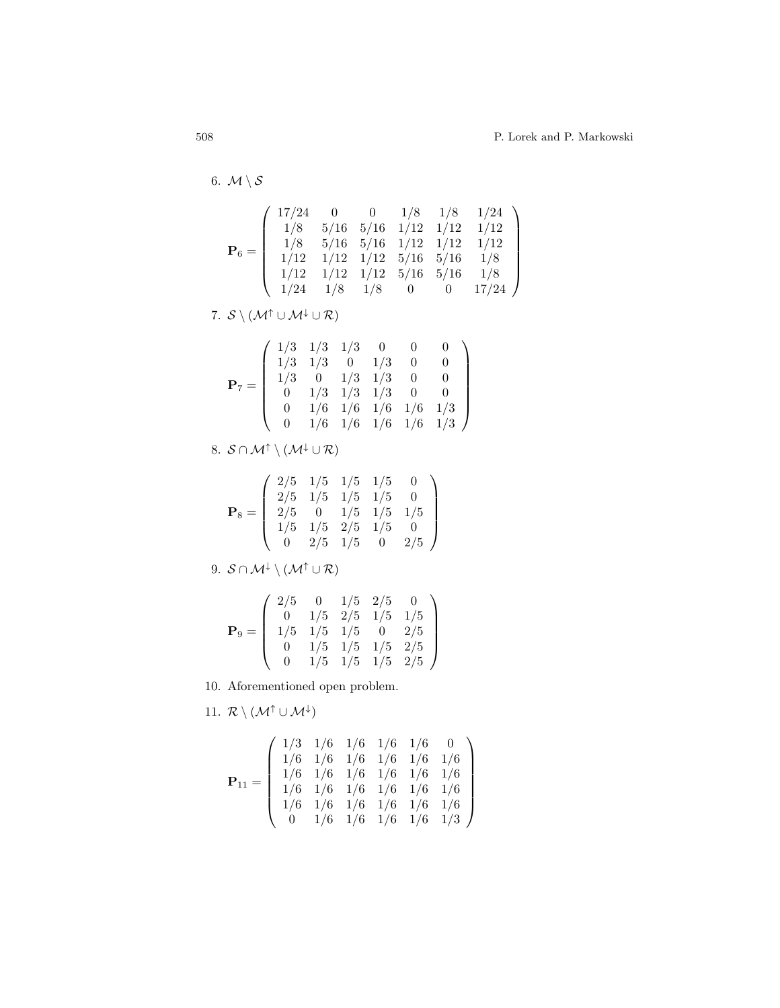6.  $M \setminus S$ 

$$
\mathbf{P}_6 = \left(\begin{array}{cccccc} 17/24 & 0 & 0 & 1/8 & 1/8 & 1/24 \\ 1/8 & 5/16 & 5/16 & 1/12 & 1/12 & 1/12 \\ 1/8 & 5/16 & 5/16 & 1/12 & 1/12 & 1/12 \\ 1/12 & 1/12 & 1/12 & 5/16 & 5/16 & 1/8 \\ 1/12 & 1/12 & 1/12 & 5/16 & 5/16 & 1/8 \\ 1/24 & 1/8 & 1/8 & 0 & 0 & 17/24 \end{array}\right)
$$

7.  $S \setminus (\mathcal{M}^{\uparrow} \cup \mathcal{M}^{\downarrow} \cup \mathcal{R})$ 

|  | $1/3$ $1/3$ $1/3$ 0                                                                 |     | $\theta$ |                               |
|--|-------------------------------------------------------------------------------------|-----|----------|-------------------------------|
|  | $1/3$ $1/3$ 0                                                                       | 1/3 | 0        |                               |
|  |                                                                                     |     |          |                               |
|  | $\begin{array}{ccc} 1/3 & 0 & 1/3 & 1/3 & 0 \\ 0 & 1/3 & 1/3 & 1/3 & 0 \end{array}$ |     |          |                               |
|  |                                                                                     |     |          | $1/6$ $1/6$ $1/6$ $1/6$ $1/3$ |
|  |                                                                                     |     |          | $1/6$ $1/6$ $1/6$ $1/6$ $1/3$ |

8.  $S \cap M^{\uparrow} \setminus (M^{\downarrow} \cup \mathcal{R})$ 

|         |                                                                                                                      |                                                                                                   | $\hspace{0.1em} 0$ |  |
|---------|----------------------------------------------------------------------------------------------------------------------|---------------------------------------------------------------------------------------------------|--------------------|--|
|         |                                                                                                                      | $\frac{2}{5}$ $\frac{1}{5}$ $\frac{1}{5}$ $\frac{1}{5}$ $\frac{1}{5}$ $\frac{1}{5}$ $\frac{1}{5}$ |                    |  |
| $P_8 =$ |                                                                                                                      |                                                                                                   |                    |  |
|         |                                                                                                                      |                                                                                                   |                    |  |
|         | $\begin{array}{c ccccc} 2/5 & 0 & 1/5 & 1/5 & 1/5 \ 1/5 & 1/5 & 2/5 & 1/5 & 0 \ 0 & 2/5 & 1/5 & 0 & 2/5 \end{array}$ |                                                                                                   |                    |  |

9.  $S \cap M^{\downarrow} \setminus (M^{\uparrow} \cup \mathcal{R})$ 

|                | 1/2/5 |                                                                                                                       |                                                                             |                           |  |
|----------------|-------|-----------------------------------------------------------------------------------------------------------------------|-----------------------------------------------------------------------------|---------------------------|--|
|                |       |                                                                                                                       | $\begin{array}{ccc} 0 & 1/5 & 2/5 & 0 \\ 1/5 & 2/5 & 1/5 & 1/5 \end{array}$ | 1/5                       |  |
| ${\bf P}_9=\ $ | 1/5   |                                                                                                                       |                                                                             |                           |  |
|                |       | $\frac{1}{5}$ $\frac{1}{5}$ $\frac{1}{5}$ $\frac{0}{1}{5}$ $\frac{2}{5}$<br>$\frac{1}{5}$ $\frac{1}{5}$ $\frac{2}{5}$ |                                                                             |                           |  |
|                |       |                                                                                                                       |                                                                             | $1/5$ $1/5$ $1/5$ $2/5$ / |  |

10. Aforementioned open problem.

11.  $\mathcal{R} \setminus (\mathcal{M}^{\uparrow} \cup \mathcal{M}^{\downarrow})$ 

$$
\mathbf{P}_{11} = \left(\begin{array}{cccc} 1/3 & 1/6 & 1/6 & 1/6 & 1/6 & 0 \\ 1/6 & 1/6 & 1/6 & 1/6 & 1/6 & 1/6 \\ 1/6 & 1/6 & 1/6 & 1/6 & 1/6 & 1/6 \\ 1/6 & 1/6 & 1/6 & 1/6 & 1/6 & 1/6 \\ 1/6 & 1/6 & 1/6 & 1/6 & 1/6 & 1/6 \\ 0 & 1/6 & 1/6 & 1/6 & 1/6 & 1/3 \end{array}\right)
$$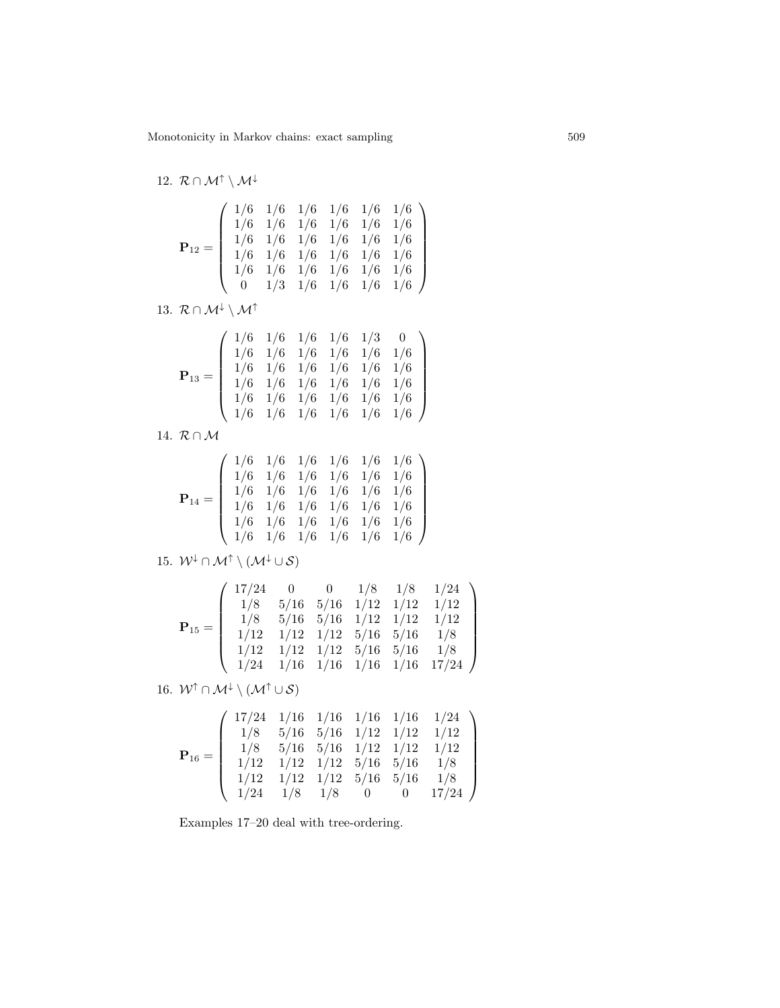12.  $\mathcal{R} \cap \mathcal{M}^{\uparrow} \setminus \mathcal{M}^{\downarrow}$  ${\bf P}_{12} =$  $\binom{1/6}{1/6}$   $\frac{1}{6}$   $\frac{1}{6}$   $\frac{1}{6}$   $\frac{1}{6}$   $\frac{1}{6}$  $\overline{\phantom{a}}$ 1/6 1/6 1/6 1/6 1/6 1/6 1/6 1/6 1/6 1/6 1/6 1/6 1/6 1/6 1/6 1/6 1/6 1/6 1/6 1/6 1/6 1/6 1/6 1/6 0 1/3 1/6 1/6 1/6 1/6  $\setminus$  $\begin{array}{c} \hline \end{array}$ 

13.  $\mathcal{R} \cap \mathcal{M}^{\downarrow} \setminus \mathcal{M}^{\uparrow}$ 

| $\mathbf{P}_{13}$ |  |  |                                                                                                                                                                                                                                                                                 |
|-------------------|--|--|---------------------------------------------------------------------------------------------------------------------------------------------------------------------------------------------------------------------------------------------------------------------------------|
|                   |  |  |                                                                                                                                                                                                                                                                                 |
|                   |  |  |                                                                                                                                                                                                                                                                                 |
|                   |  |  |                                                                                                                                                                                                                                                                                 |
|                   |  |  | $\left( \begin{array}{ccccccc} 1/6 & 1/6 & 1/6 & 1/6 & 1/3 & 0 \\ 1/6 & 1/6 & 1/6 & 1/6 & 1/6 & 1/6 \\ 1/6 & 1/6 & 1/6 & 1/6 & 1/6 & 1/6 \\ 1/6 & 1/6 & 1/6 & 1/6 & 1/6 & 1/6 \\ 1/6 & 1/6 & 1/6 & 1/6 & 1/6 & 1/6 \\ 1/6 & 1/6 & 1/6 & 1/6 & 1/6 & 1/6 \\ \end{array} \right)$ |

14. R ∩ M

|  |  |  | $\left.\begin{array}{rrrr} 1/6 & 1/6 & 1/6 & 1/6 & 1/6 & 1/6 \\ 1/6 & 1/6 & 1/6 & 1/6 & 1/6 & 1/6 \end{array}\right)$  |
|--|--|--|------------------------------------------------------------------------------------------------------------------------|
|  |  |  |                                                                                                                        |
|  |  |  | $\begin{array}{ccc} 1/6 & 1/6 & 1/6 & 1/6 & 1/6 & 1/6 \\ 1/6 & 1/6 & 1/6 & 1/6 & 1/6 & 1/6 \\ \end{array}$             |
|  |  |  |                                                                                                                        |
|  |  |  | $\left( \begin{array}{ccc} 1/6 & 1/6 & 1/6 & 1/6 & 1/6 & 1/6 \\ 1/6 & 1/6 & 1/6 & 1/6 & 1/6 & 1/6 \end{array} \right)$ |

15.  $W^{\downarrow} \cap M^{\uparrow} \setminus (M^{\downarrow} \cup \mathcal{S})$ 

|            | (17/24 0)                                |  |                             |                                   | 0 $1/8$ $1/8$ $1/24$                       |
|------------|------------------------------------------|--|-----------------------------|-----------------------------------|--------------------------------------------|
| $P_{15} =$ | 1/8                                      |  |                             |                                   | $5/16$ $5/16$ $1/12$ $1/12$ $1/12$         |
|            | 1/8                                      |  | $5/16$ $5/16$ $1/12$ $1/12$ |                                   | 1/12                                       |
|            | $1/12$ $1/12$ $1/12$ $5/16$ $5/16$ $1/8$ |  |                             |                                   |                                            |
|            | 1/12                                     |  |                             | $1/12$ $1/12$ $5/16$ $5/16$ $1/8$ |                                            |
|            |                                          |  |                             |                                   | $1/24$ $1/16$ $1/16$ $1/16$ $1/16$ $17/24$ |

16.  $W^{\dagger} \cap M^{\downarrow} \setminus (M^{\dagger} \cup S)$ 

$$
\mathbf{P}_{16} = \left(\begin{array}{cccc} 17/24 & 1/16 & 1/16 & 1/16 & 1/16 & 1/24 \\ 1/8 & 5/16 & 5/16 & 1/12 & 1/12 & 1/12 \\ 1/8 & 5/16 & 5/16 & 1/12 & 1/12 & 1/12 \\ 1/12 & 1/12 & 1/12 & 5/16 & 5/16 & 1/8 \\ 1/12 & 1/12 & 1/12 & 5/16 & 5/16 & 1/8 \\ 1/24 & 1/8 & 1/8 & 0 & 0 & 17/24 \end{array}\right)
$$

Examples 17–20 deal with tree-ordering.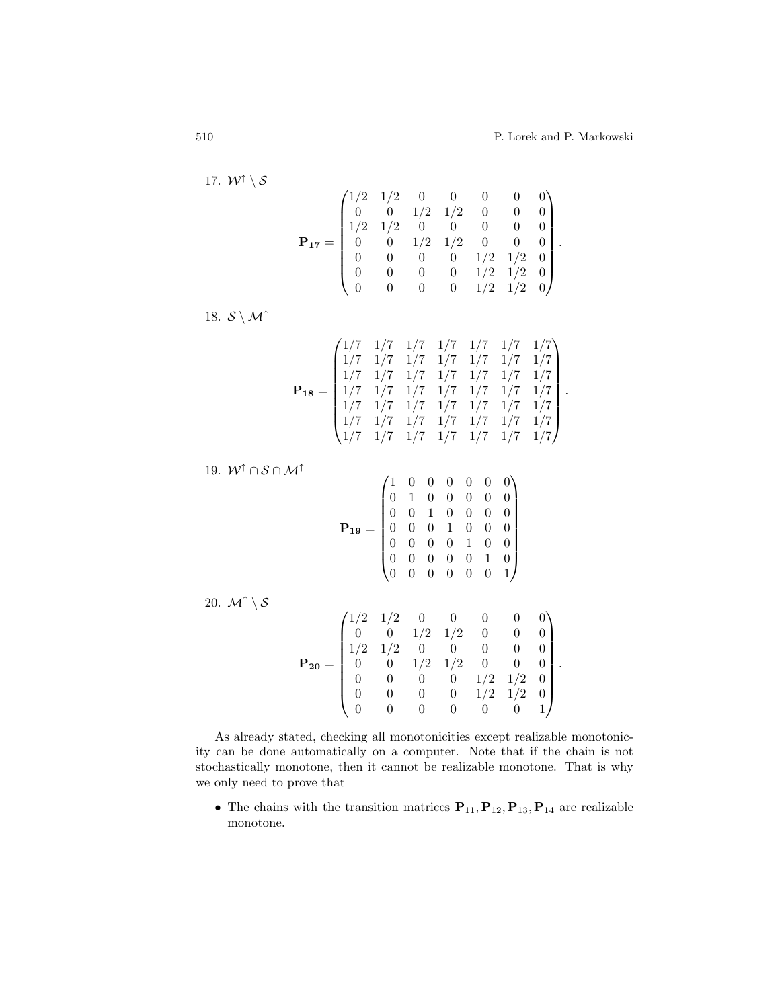17. 
$$
\mathcal{W}^{\uparrow} \setminus \mathcal{S}
$$

$$
\mathbf{P}_{17} = \begin{pmatrix} 1/2 & 1/2 & 0 & 0 & 0 & 0 & 0 \\ 0 & 0 & 1/2 & 1/2 & 0 & 0 & 0 \\ 1/2 & 1/2 & 0 & 0 & 0 & 0 & 0 \\ 0 & 0 & 1/2 & 1/2 & 0 & 0 & 0 \\ 0 & 0 & 0 & 0 & 1/2 & 1/2 & 0 \\ 0 & 0 & 0 & 0 & 1/2 & 1/2 & 0 \\ 0 & 0 & 0 & 0 & 1/2 & 1/2 & 0 \end{pmatrix}.
$$

18.  $S \setminus \mathcal{M}^{\uparrow}$ 

$$
\mathbf{P_{18}} = \begin{pmatrix} 1/7 & 1/7 & 1/7 & 1/7 & 1/7 & 1/7 & 1/7 \\ 1/7 & 1/7 & 1/7 & 1/7 & 1/7 & 1/7 & 1/7 \\ 1/7 & 1/7 & 1/7 & 1/7 & 1/7 & 1/7 & 1/7 \\ 1/7 & 1/7 & 1/7 & 1/7 & 1/7 & 1/7 & 1/7 \\ 1/7 & 1/7 & 1/7 & 1/7 & 1/7 & 1/7 & 1/7 \\ 1/7 & 1/7 & 1/7 & 1/7 & 1/7 & 1/7 & 1/7 \\ 1/7 & 1/7 & 1/7 & 1/7 & 1/7 & 1/7 & 1/7 \end{pmatrix}.
$$

19.  $W^{\dagger} \cap S \cap M^{\dagger}$ 

20.  $\mathcal{M}^{\uparrow} \setminus \mathcal{S}$ 

$$
\mathbf{P}_{19} = \begin{pmatrix} 1 & 0 & 0 & 0 & 0 & 0 & 0 \\ 0 & 1 & 0 & 0 & 0 & 0 & 0 \\ 0 & 0 & 1 & 0 & 0 & 0 & 0 \\ 0 & 0 & 0 & 1 & 0 & 0 & 0 \\ 0 & 0 & 0 & 0 & 1 & 0 & 0 \\ 0 & 0 & 0 & 0 & 0 & 1 & 0 \\ 0 & 0 & 0 & 0 & 0 & 0 & 1 \end{pmatrix}
$$

$$
\mathbf{P}_{20} = \begin{pmatrix} 1/2 & 1/2 & 0 & 0 & 0 & 0 & 0 \\ 0 & 0 & 1/2 & 1/2 & 0 & 0 & 0 \\ 1/2 & 1/2 & 0 & 0 & 0 & 0 & 0 \\ 0 & 0 & 1/2 & 1/2 & 0 & 0 & 0 \\ 0 & 0 & 1/2 & 1/2 & 0 & 0 & 0 \end{pmatrix}
$$

| $\mathbf{P}_{20} = \begin{bmatrix} 0 \\ 0 \end{bmatrix}$ |                                                                                                                                                                                                 |  |  |  |  |
|----------------------------------------------------------|-------------------------------------------------------------------------------------------------------------------------------------------------------------------------------------------------|--|--|--|--|
|                                                          |                                                                                                                                                                                                 |  |  |  |  |
|                                                          |                                                                                                                                                                                                 |  |  |  |  |
|                                                          | $\begin{bmatrix} 0 & 0 & 1/2 & 1/2 & 0 & 0 & 0 & 0 \ 1/2 & 1/2 & 0 & 0 & 0 & 0 & 0 \ 0 & 0 & 1/2 & 1/2 & 0 & 0 & 0 \ 0 & 0 & 0 & 0 & 1/2 & 1/2 & 0 \ 0 & 0 & 0 & 0 & 0 & 0 & 1 \end{bmatrix}$ . |  |  |  |  |

As already stated, checking all monotonicities except realizable monotonicity can be done automatically on a computer. Note that if the chain is not stochastically monotone, then it cannot be realizable monotone. That is why we only need to prove that

 $\bullet\,$  The chains with the transition matrices  ${\bf P}_{11}, {\bf P}_{12}, {\bf P}_{13}, {\bf P}_{14}$  are realizable monotone.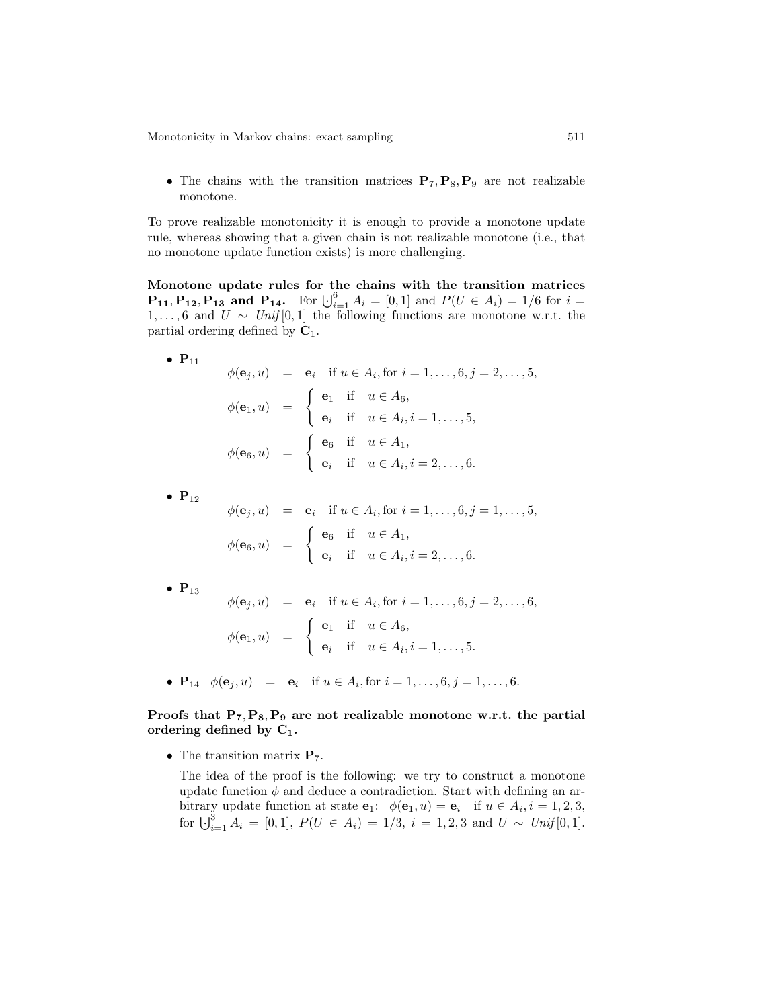• The chains with the transition matrices  $P_7, P_8, P_9$  are not realizable monotone.

To prove realizable monotonicity it is enough to provide a monotone update rule, whereas showing that a given chain is not realizable monotone (i.e., that no monotone update function exists) is more challenging.

Monotone update rules for the chains with the transition matrices  $\mathbf{P_{11}}, \mathbf{P_{12}}, \mathbf{P_{13}}$  and  $\mathbf{P_{14}}, \quad \text{For } \bigcup_{i=1}^{6} A_i = [0, 1]$  and  $P(U \in A_i) = 1/6$  for  $i =$ 1,...,6 and  $U \sim Unif[0,1]$  the following functions are monotone w.r.t. the partial ordering defined by  $C_1$ .

• 
$$
P_{11}
$$
  
\n
$$
\phi(\mathbf{e}_j, u) = \mathbf{e}_i \text{ if } u \in A_i, \text{ for } i = 1, ..., 6, j = 2, ..., 5,
$$
\n
$$
\phi(\mathbf{e}_1, u) = \begin{cases}\n\mathbf{e}_1 & \text{if } u \in A_6, \\
\mathbf{e}_i & \text{if } u \in A_i, i = 1, ..., 5, \\
\mathbf{e}_6 & \text{if } u \in A_1, \\
\mathbf{e}_i & \text{if } u \in A_i, i = 2, ..., 6.\n\end{cases}
$$

 $\bullet$  P<sub>12</sub>

$$
\phi(\mathbf{e}_j, u) = \mathbf{e}_i \quad \text{if } u \in A_i, \text{for } i = 1, \dots, 6, j = 1, \dots, 5,
$$

$$
\phi(\mathbf{e}_6, u) = \begin{cases} \mathbf{e}_6 & \text{if } u \in A_1, \\ \mathbf{e}_i & \text{if } u \in A_i, i = 2, \dots, 6. \end{cases}
$$

 $\bullet$  P<sub>13</sub>

$$
\phi(\mathbf{e}_j, u) = \mathbf{e}_i \quad \text{if } u \in A_i, \text{for } i = 1, \dots, 6, j = 2, \dots, 6,
$$

$$
\phi(\mathbf{e}_1, u) = \begin{cases} \mathbf{e}_1 & \text{if } u \in A_6, \\ \mathbf{e}_i & \text{if } u \in A_i, i = 1, \dots, 5. \end{cases}
$$

•  $P_{14} \phi(e_j, u) = e_i$  if  $u \in A_i$ , for  $i = 1, ..., 6, j = 1, ..., 6$ .

Proofs that  $P_7, P_8, P_9$  are not realizable monotone w.r.t. the partial ordering defined by  $C_1$ .

• The transition matrix  $P_7$ .

The idea of the proof is the following: we try to construct a monotone update function  $\phi$  and deduce a contradiction. Start with defining an arbitrary update function at state  $\mathbf{e}_1$ :  $\phi(\mathbf{e}_1, u) = \mathbf{e}_i$  if  $u \in A_i, i = 1, 2, 3$ , for  $\bigcup_{i=1}^{3} A_i = [0, 1], P(U \in A_i) = 1/3, i = 1, 2, 3 \text{ and } U \sim Unif[0, 1].$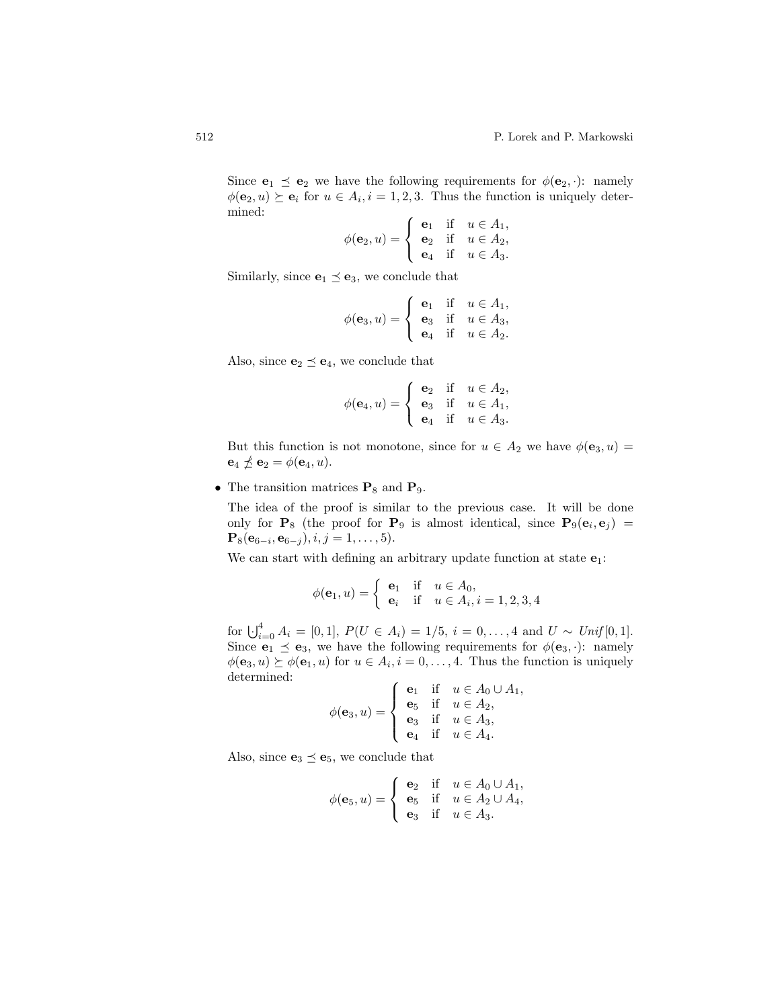Since  $e_1 \preceq e_2$  we have the following requirements for  $\phi(e_2, \cdot)$ : namely  $\phi(\mathbf{e}_2, u) \succeq \mathbf{e}_i$  for  $u \in A_i, i = 1, 2, 3$ . Thus the function is uniquely determined:  $\epsilon$ 

$$
\phi(\mathbf{e}_2, u) = \begin{cases} \mathbf{e}_1 & \text{if } u \in A_1, \\ \mathbf{e}_2 & \text{if } u \in A_2, \\ \mathbf{e}_4 & \text{if } u \in A_3. \end{cases}
$$

Similarly, since  $\mathbf{e}_1 \preceq \mathbf{e}_3$ , we conclude that

$$
\phi(\mathbf{e}_3, u) = \begin{cases} \mathbf{e}_1 & \text{if } u \in A_1, \\ \mathbf{e}_3 & \text{if } u \in A_3, \\ \mathbf{e}_4 & \text{if } u \in A_2. \end{cases}
$$

Also, since  $\mathbf{e}_2 \preceq \mathbf{e}_4$ , we conclude that

$$
\phi(\mathbf{e}_4, u) = \begin{cases} \mathbf{e}_2 & \text{if } u \in A_2, \\ \mathbf{e}_3 & \text{if } u \in A_1, \\ \mathbf{e}_4 & \text{if } u \in A_3. \end{cases}
$$

But this function is not monotone, since for  $u \in A_2$  we have  $\phi(\mathbf{e}_3, u) =$  $\mathbf{e}_4 \npreceq \mathbf{e}_2 = \phi(\mathbf{e}_4, u).$ 

• The transition matrices  $\mathbf{P}_8$  and  $\mathbf{P}_9$ .

The idea of the proof is similar to the previous case. It will be done only for  $P_8$  (the proof for  $P_9$  is almost identical, since  $P_9(e_i, e_j)$  =  ${\bf P}_8({\bf e}_{6-i},{\bf e}_{6-j}), i,j = 1,\ldots,5).$ 

We can start with defining an arbitrary update function at state  $e_1$ :

$$
\phi(\mathbf{e}_1, u) = \begin{cases} \mathbf{e}_1 & \text{if } u \in A_0, \\ \mathbf{e}_i & \text{if } u \in A_i, i = 1, 2, 3, 4 \end{cases}
$$

for  $\bigcup_{i=0}^{4} A_i = [0, 1], P(U \in A_i) = 1/5, i = 0, ..., 4$  and  $U \sim Unif[0, 1].$ Since  $\mathbf{e}_1 \preceq \mathbf{e}_3$ , we have the following requirements for  $\phi(\mathbf{e}_3, \cdot)$ : namely  $\phi(\mathbf{e}_3, u) \succeq \phi(\mathbf{e}_1, u)$  for  $u \in A_i, i = 0, \ldots, 4$ . Thus the function is uniquely determined:

$$
\phi(\mathbf{e}_3, u) = \begin{cases} \mathbf{e}_1 & \text{if } u \in A_0 \cup A_1, \\ \mathbf{e}_5 & \text{if } u \in A_2, \\ \mathbf{e}_3 & \text{if } u \in A_3, \\ \mathbf{e}_4 & \text{if } u \in A_4. \end{cases}
$$

Also, since  $\mathbf{e}_3 \preceq \mathbf{e}_5$ , we conclude that

$$
\phi(\mathbf{e}_5, u) = \begin{cases} \mathbf{e}_2 & \text{if } u \in A_0 \cup A_1, \\ \mathbf{e}_5 & \text{if } u \in A_2 \cup A_4, \\ \mathbf{e}_3 & \text{if } u \in A_3. \end{cases}
$$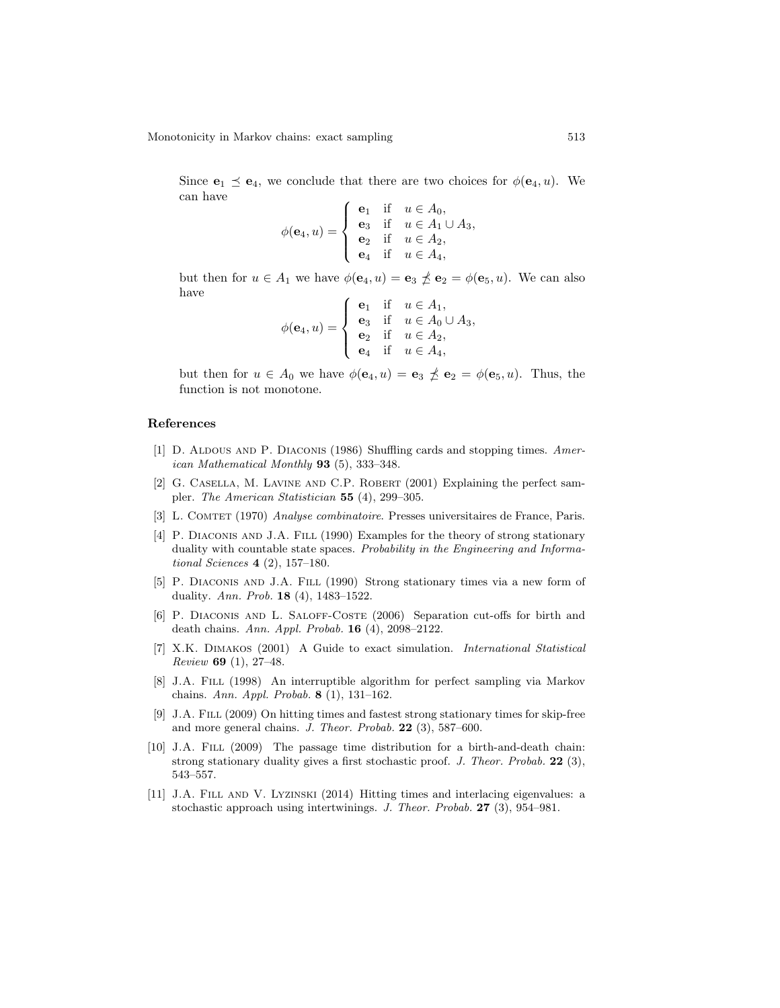Since  $e_1 \preceq e_4$ , we conclude that there are two choices for  $\phi(e_4, u)$ . We can have

$$
\phi(\mathbf{e}_4, u) = \begin{cases} \mathbf{e}_1 & \text{if } u \in A_0, \\ \mathbf{e}_3 & \text{if } u \in A_1 \cup A_3, \\ \mathbf{e}_2 & \text{if } u \in A_2, \\ \mathbf{e}_4 & \text{if } u \in A_4, \end{cases}
$$

but then for  $u \in A_1$  we have  $\phi(\mathbf{e}_4, u) = \mathbf{e}_3 \nleq \mathbf{e}_2 = \phi(\mathbf{e}_5, u)$ . We can also have  $\mathcal{L}$ 

$$
\phi(\mathbf{e}_4, u) = \begin{cases} \mathbf{e}_1 & \text{if } u \in A_1, \\ \mathbf{e}_3 & \text{if } u \in A_0 \cup A_3, \\ \mathbf{e}_2 & \text{if } u \in A_2, \\ \mathbf{e}_4 & \text{if } u \in A_4, \end{cases}
$$

but then for  $u \in A_0$  we have  $\phi(\mathbf{e}_4, u) = \mathbf{e}_3 \npreceq \mathbf{e}_2 = \phi(\mathbf{e}_5, u)$ . Thus, the function is not monotone.

# References

- [1] D. Aldous and P. Diaconis (1986) Shuffling cards and stopping times. American Mathematical Monthly 93 (5), 333–348.
- [2] G. Casella, M. Lavine and C.P. Robert (2001) Explaining the perfect sampler. The American Statistician 55 (4), 299–305.
- [3] L. Comtet (1970) Analyse combinatoire. Presses universitaires de France, Paris.
- [4] P. Diaconis and J.A. Fill (1990) Examples for the theory of strong stationary duality with countable state spaces. Probability in the Engineering and Informational Sciences 4 (2), 157–180.
- [5] P. Diaconis and J.A. Fill (1990) Strong stationary times via a new form of duality. Ann. Prob. 18 (4), 1483–1522.
- [6] P. DIACONIS AND L. SALOFF-COSTE (2006) Separation cut-offs for birth and death chains. Ann. Appl. Probab. 16 (4), 2098–2122.
- [7] X.K. Dimakos (2001) A Guide to exact simulation. International Statistical Review 69 (1), 27–48.
- [8] J.A. Fill (1998) An interruptible algorithm for perfect sampling via Markov chains. Ann. Appl. Probab. 8 (1), 131–162.
- [9] J.A. Fill (2009) On hitting times and fastest strong stationary times for skip-free and more general chains. J. Theor. Probab. 22 (3), 587–600.
- [10] J.A. FILL (2009) The passage time distribution for a birth-and-death chain: strong stationary duality gives a first stochastic proof. J. Theor. Probab. 22 (3), 543–557.
- [11] J.A. FILL AND V. LYZINSKI (2014) Hitting times and interlacing eigenvalues: a stochastic approach using intertwinings. J. Theor. Probab. 27 (3), 954–981.